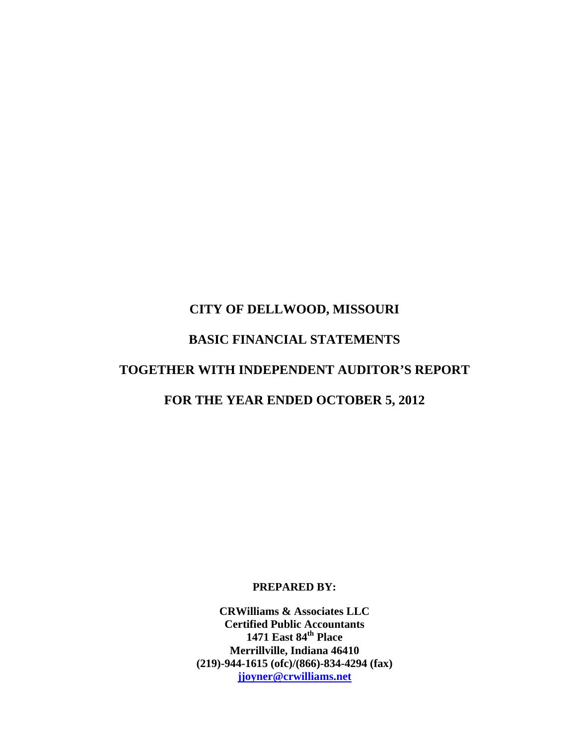# **CITY OF DELLWOOD, MISSOURI BASIC FINANCIAL STATEMENTS TOGETHER WITH INDEPENDENT AUDITOR'S REPORT FOR THE YEAR ENDED OCTOBER 5, 2012**

**PREPARED BY:** 

**CRWilliams & Associates LLC Certified Public Accountants 1471 East 84th Place Merrillville, Indiana 46410 (219)-944-1615 (ofc)/(866)-834-4294 (fax) jjoyner@crwilliams.net**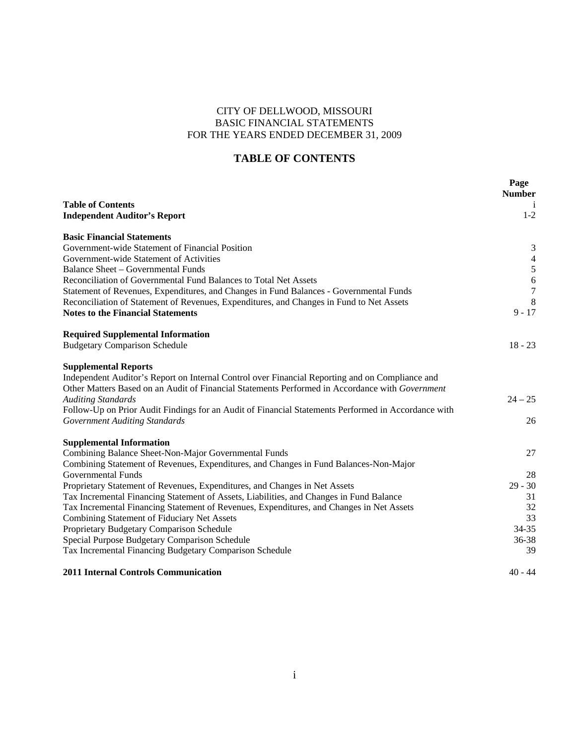# CITY OF DELLWOOD, MISSOURI BASIC FINANCIAL STATEMENTS FOR THE YEARS ENDED DECEMBER 31, 2009

# **TABLE OF CONTENTS**

|                                                                                                     | Page<br><b>Number</b> |
|-----------------------------------------------------------------------------------------------------|-----------------------|
| <b>Table of Contents</b>                                                                            | $\mathbf{1}$          |
| <b>Independent Auditor's Report</b>                                                                 | $1-2$                 |
| <b>Basic Financial Statements</b>                                                                   |                       |
| Government-wide Statement of Financial Position                                                     | 3                     |
| Government-wide Statement of Activities                                                             | $\overline{4}$        |
| <b>Balance Sheet - Governmental Funds</b>                                                           | $\sqrt{5}$            |
| Reconciliation of Governmental Fund Balances to Total Net Assets                                    | 6                     |
| Statement of Revenues, Expenditures, and Changes in Fund Balances - Governmental Funds              | $\tau$                |
| Reconciliation of Statement of Revenues, Expenditures, and Changes in Fund to Net Assets            | 8                     |
| <b>Notes to the Financial Statements</b>                                                            | $9 - 17$              |
| <b>Required Supplemental Information</b>                                                            |                       |
| <b>Budgetary Comparison Schedule</b>                                                                | $18 - 23$             |
| <b>Supplemental Reports</b>                                                                         |                       |
| Independent Auditor's Report on Internal Control over Financial Reporting and on Compliance and     |                       |
| Other Matters Based on an Audit of Financial Statements Performed in Accordance with Government     |                       |
| <b>Auditing Standards</b>                                                                           | $24 - 25$             |
| Follow-Up on Prior Audit Findings for an Audit of Financial Statements Performed in Accordance with |                       |
| <b>Government Auditing Standards</b>                                                                | 26                    |
| <b>Supplemental Information</b>                                                                     |                       |
| Combining Balance Sheet-Non-Major Governmental Funds                                                | 27                    |
| Combining Statement of Revenues, Expenditures, and Changes in Fund Balances-Non-Major               |                       |
| Governmental Funds                                                                                  | 28                    |
| Proprietary Statement of Revenues, Expenditures, and Changes in Net Assets                          | $29 - 30$             |
| Tax Incremental Financing Statement of Assets, Liabilities, and Changes in Fund Balance             | 31                    |
| Tax Incremental Financing Statement of Revenues, Expenditures, and Changes in Net Assets            | 32                    |
| Combining Statement of Fiduciary Net Assets                                                         | 33                    |
| Proprietary Budgetary Comparison Schedule                                                           | $34 - 35$             |
| Special Purpose Budgetary Comparison Schedule                                                       | 36-38                 |
| Tax Incremental Financing Budgetary Comparison Schedule                                             | 39                    |
| <b>2011 Internal Controls Communication</b>                                                         | $40 - 44$             |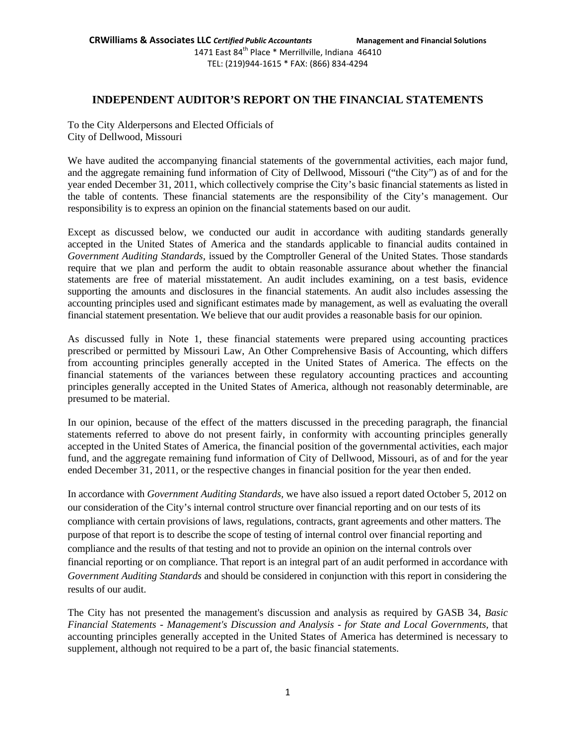1471 East 84<sup>th</sup> Place \* Merrillville, Indiana 46410 TEL: (219)944‐1615 \* FAX: (866) 834‐4294

# **INDEPENDENT AUDITOR'S REPORT ON THE FINANCIAL STATEMENTS**

To the City Alderpersons and Elected Officials of City of Dellwood, Missouri

We have audited the accompanying financial statements of the governmental activities, each major fund, and the aggregate remaining fund information of City of Dellwood, Missouri ("the City") as of and for the year ended December 31, 2011, which collectively comprise the City's basic financial statements as listed in the table of contents. These financial statements are the responsibility of the City's management. Our responsibility is to express an opinion on the financial statements based on our audit.

Except as discussed below, we conducted our audit in accordance with auditing standards generally accepted in the United States of America and the standards applicable to financial audits contained in *Government Auditing Standards,* issued by the Comptroller General of the United States. Those standards require that we plan and perform the audit to obtain reasonable assurance about whether the financial statements are free of material misstatement. An audit includes examining, on a test basis, evidence supporting the amounts and disclosures in the financial statements. An audit also includes assessing the accounting principles used and significant estimates made by management, as well as evaluating the overall financial statement presentation. We believe that our audit provides a reasonable basis for our opinion.

As discussed fully in Note 1, these financial statements were prepared using accounting practices prescribed or permitted by Missouri Law, An Other Comprehensive Basis of Accounting, which differs from accounting principles generally accepted in the United States of America. The effects on the financial statements of the variances between these regulatory accounting practices and accounting principles generally accepted in the United States of America, although not reasonably determinable, are presumed to be material.

In our opinion, because of the effect of the matters discussed in the preceding paragraph, the financial statements referred to above do not present fairly, in conformity with accounting principles generally accepted in the United States of America, the financial position of the governmental activities, each major fund, and the aggregate remaining fund information of City of Dellwood, Missouri, as of and for the year ended December 31, 2011, or the respective changes in financial position for the year then ended.

In accordance with *Government Auditing Standards,* we have also issued a report dated October 5, 2012 on our consideration of the City's internal control structure over financial reporting and on our tests of its compliance with certain provisions of laws, regulations, contracts, grant agreements and other matters. The purpose of that report is to describe the scope of testing of internal control over financial reporting and compliance and the results of that testing and not to provide an opinion on the internal controls over financial reporting or on compliance. That report is an integral part of an audit performed in accordance with *Government Auditing Standards* and should be considered in conjunction with this report in considering the results of our audit.

The City has not presented the management's discussion and analysis as required by GASB 34, *Basic Financial Statements* - *Management's Discussion and Analysis* - *for State and Local Governments,* that accounting principles generally accepted in the United States of America has determined is necessary to supplement, although not required to be a part of, the basic financial statements.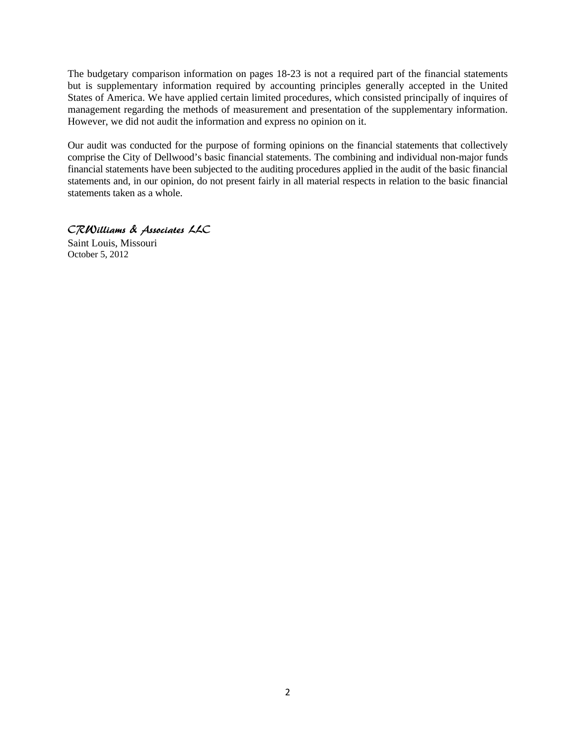The budgetary comparison information on pages 18-23 is not a required part of the financial statements but is supplementary information required by accounting principles generally accepted in the United States of America. We have applied certain limited procedures, which consisted principally of inquires of management regarding the methods of measurement and presentation of the supplementary information. However, we did not audit the information and express no opinion on it.

Our audit was conducted for the purpose of forming opinions on the financial statements that collectively comprise the City of Dellwood's basic financial statements. The combining and individual non-major funds financial statements have been subjected to the auditing procedures applied in the audit of the basic financial statements and, in our opinion, do not present fairly in all material respects in relation to the basic financial statements taken as a whole.

CRWilliams & Associates LLC

Saint Louis, Missouri October 5, 2012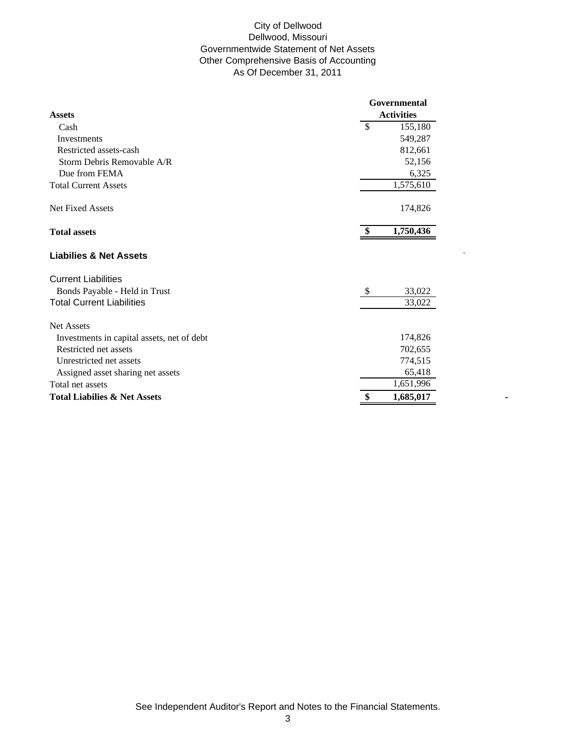## City of Dellwood Dellwood, Missouri Governmentwide Statement of Net Assets Other Comprehensive Basis of Accounting As Of December 31, 2011

|                                            | Governmental            |
|--------------------------------------------|-------------------------|
| <b>Assets</b>                              | <b>Activities</b>       |
| Cash                                       | \$<br>155,180           |
| Investments                                | 549,287                 |
| Restricted assets-cash                     | 812,661                 |
| Storm Debris Removable A/R                 | 52,156                  |
| Due from FEMA                              | 6,325                   |
| <b>Total Current Assets</b>                | 1,575,610               |
| Net Fixed Assets                           | 174,826                 |
| <b>Total assets</b>                        | 1,750,436               |
| <b>Liabilies &amp; Net Assets</b>          |                         |
| <b>Current Liabilities</b>                 |                         |
| Bonds Payable - Held in Trust              | $\mathcal{S}$<br>33,022 |
| <b>Total Current Liabilities</b>           | 33,022                  |
| <b>Net Assets</b>                          |                         |
| Investments in capital assets, net of debt | 174,826                 |
| Restricted net assets                      | 702,655                 |
| Unrestricted net assets                    | 774,515                 |
| Assigned asset sharing net assets          | 65,418                  |
| Total net assets                           | 1,651,996               |
| <b>Total Liabilies &amp; Net Assets</b>    | \$<br>1,685,017         |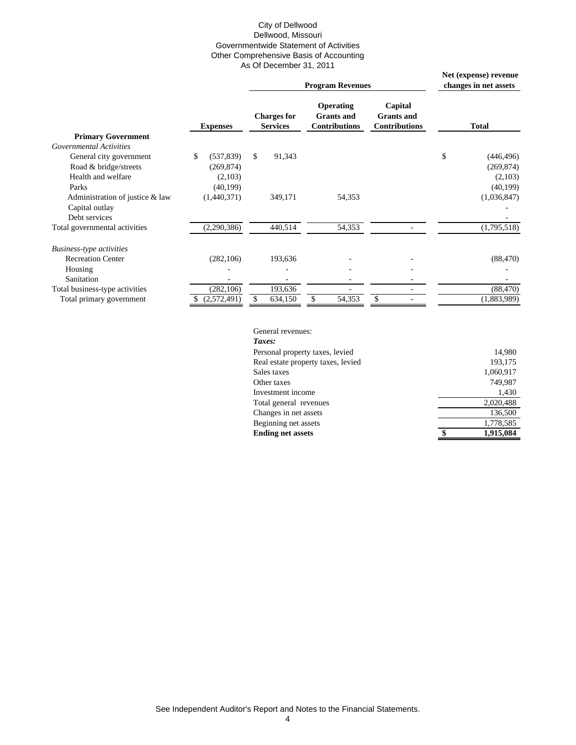#### City of Dellwood Dellwood, Missouri Governmentwide Statement of Activities Other Comprehensive Basis of Accounting As Of December 31, 2011

|                                 |                  |                                       | Net (expense) revenue<br>changes in net assets                |                                                      |                  |
|---------------------------------|------------------|---------------------------------------|---------------------------------------------------------------|------------------------------------------------------|------------------|
|                                 | <b>Expenses</b>  | <b>Charges for</b><br><b>Services</b> | <b>Operating</b><br><b>Grants and</b><br><b>Contributions</b> | Capital<br><b>Grants</b> and<br><b>Contributions</b> | <b>Total</b>     |
| <b>Primary Government</b>       |                  |                                       |                                                               |                                                      |                  |
| <b>Governmental Activities</b>  |                  |                                       |                                                               |                                                      |                  |
| General city government         | \$<br>(537, 839) | $\mathbb{S}$<br>91,343                |                                                               |                                                      | \$<br>(446, 496) |
| Road & bridge/streets           | (269, 874)       |                                       |                                                               |                                                      | (269, 874)       |
| Health and welfare              | (2,103)          |                                       |                                                               |                                                      | (2,103)          |
| Parks                           | (40, 199)        |                                       |                                                               |                                                      | (40, 199)        |
| Administration of justice & law | (1,440,371)      | 349,171                               | 54,353                                                        |                                                      | (1,036,847)      |
| Capital outlay                  |                  |                                       |                                                               |                                                      |                  |
| Debt services                   |                  |                                       |                                                               |                                                      |                  |
| Total governmental activities   | (2,290,386)      | 440,514                               | 54,353                                                        |                                                      | (1,795,518)      |
| <b>Business-type activities</b> |                  |                                       |                                                               |                                                      |                  |
| <b>Recreation Center</b>        | (282, 106)       | 193,636                               |                                                               |                                                      | (88, 470)        |
| Housing                         |                  |                                       |                                                               |                                                      |                  |
| Sanitation                      |                  |                                       |                                                               | ٠                                                    |                  |
| Total business-type activities  | (282, 106)       | 193,636                               |                                                               | -                                                    | (88, 470)        |
| Total primary government        | (2,572,491)      | 634,150                               | 54,353                                                        |                                                      | (1,883,989)      |

General revenues: *Taxes:* Personal property taxes, levied 14,980 Real estate property taxes, levied 193,175 Sales taxes 1,060,917 Other taxes 749,987 Investment income 1,430 Total general revenues 2,020,488 Changes in net assets 136,500 Beginning net assets 1,778,585 **Ending net assets 6 \$ 1,915,084**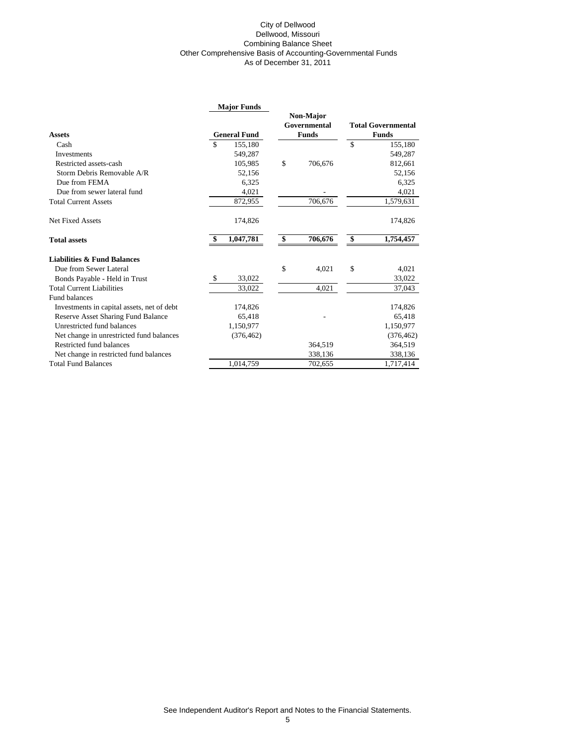#### City of Dellwood Dellwood, Missouri Combining Balance Sheet Other Comprehensive Basis of Accounting-Governmental Funds As of December 31, 2011

|                                            | <b>Major Funds</b>  | Non-Major     |                           |
|--------------------------------------------|---------------------|---------------|---------------------------|
|                                            |                     | Governmental  | <b>Total Governmental</b> |
| <b>Assets</b>                              | <b>General Fund</b> | <b>Funds</b>  | <b>Funds</b>              |
| Cash                                       | \$<br>155,180       |               | \$<br>155,180             |
| Investments                                | 549,287             |               | 549,287                   |
| Restricted assets-cash                     | 105,985             | \$<br>706,676 | 812,661                   |
| Storm Debris Removable A/R                 | 52,156              |               | 52,156                    |
| Due from FEMA                              | 6,325               |               | 6,325                     |
| Due from sewer lateral fund                | 4,021               |               | 4,021                     |
| <b>Total Current Assets</b>                | 872,955             | 706,676       | 1,579,631                 |
| <b>Net Fixed Assets</b>                    | 174,826             |               | 174,826                   |
| <b>Total assets</b>                        | 1,047,781           | \$<br>706,676 | \$<br>1,754,457           |
| <b>Liabilities &amp; Fund Balances</b>     |                     |               |                           |
| Due from Sewer Lateral                     |                     | \$<br>4,021   | \$<br>4,021               |
| Bonds Payable - Held in Trust              | \$<br>33,022        |               | 33,022                    |
| <b>Total Current Liabilities</b>           | 33,022              | 4,021         | 37,043                    |
| Fund balances                              |                     |               |                           |
| Investments in capital assets, net of debt | 174,826             |               | 174,826                   |
| Reserve Asset Sharing Fund Balance         | 65,418              |               | 65,418                    |
| Unrestricted fund balances                 | 1,150,977           |               | 1,150,977                 |
| Net change in unrestricted fund balances   | (376, 462)          |               | (376, 462)                |
| Restricted fund balances                   |                     | 364,519       | 364,519                   |
| Net change in restricted fund balances     |                     | 338,136       | 338,136                   |
| <b>Total Fund Balances</b>                 | 1.014.759           | 702,655       | 1,717,414                 |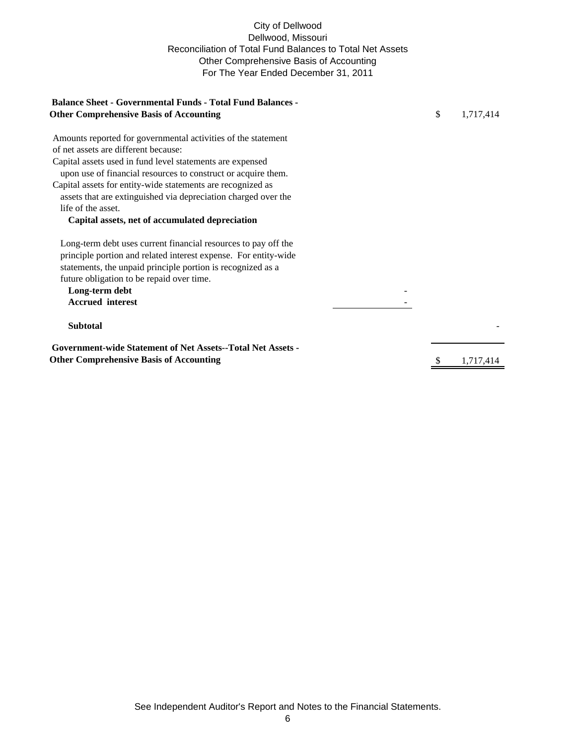## City of Dellwood Dellwood, Missouri Reconciliation of Total Fund Balances to Total Net Assets Other Comprehensive Basis of Accounting For The Year Ended December 31, 2011

| <b>Balance Sheet - Governmental Funds - Total Fund Balances -</b>                                                                                                                                |                 |
|--------------------------------------------------------------------------------------------------------------------------------------------------------------------------------------------------|-----------------|
| <b>Other Comprehensive Basis of Accounting</b>                                                                                                                                                   | \$<br>1,717,414 |
| Amounts reported for governmental activities of the statement                                                                                                                                    |                 |
| of net assets are different because:                                                                                                                                                             |                 |
| Capital assets used in fund level statements are expensed                                                                                                                                        |                 |
| upon use of financial resources to construct or acquire them.                                                                                                                                    |                 |
| Capital assets for entity-wide statements are recognized as                                                                                                                                      |                 |
| assets that are extinguished via depreciation charged over the                                                                                                                                   |                 |
| life of the asset.                                                                                                                                                                               |                 |
| Capital assets, net of accumulated depreciation                                                                                                                                                  |                 |
| Long-term debt uses current financial resources to pay off the<br>principle portion and related interest expense. For entity-wide<br>statements, the unpaid principle portion is recognized as a |                 |
| future obligation to be repaid over time.                                                                                                                                                        |                 |
| Long-term debt                                                                                                                                                                                   |                 |
| <b>Accrued</b> interest                                                                                                                                                                          |                 |
| <b>Subtotal</b>                                                                                                                                                                                  |                 |
| <b>Government-wide Statement of Net Assets--Total Net Assets -</b>                                                                                                                               |                 |
| <b>Other Comprehensive Basis of Accounting</b>                                                                                                                                                   | 1.717.414       |
|                                                                                                                                                                                                  |                 |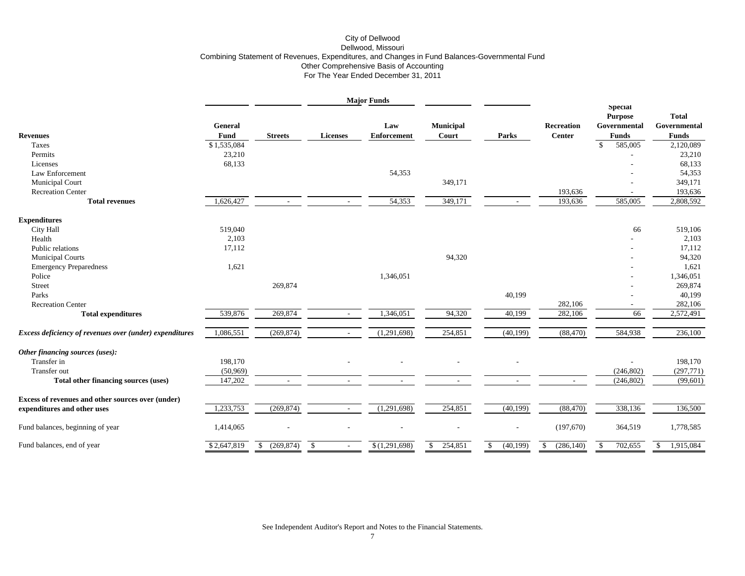#### City of Dellwood Dellwood, Missouri Combining Statement of Revenues, Expenditures, and Changes in Fund Balances-Governmental Fund Other Comprehensive Basis of Accounting For The Year Ended December 31, 2011

|                                                         |                 |                            |                 | <b>Major Funds</b>        |                           |                          |                                    |                                                           |                                              |
|---------------------------------------------------------|-----------------|----------------------------|-----------------|---------------------------|---------------------------|--------------------------|------------------------------------|-----------------------------------------------------------|----------------------------------------------|
| <b>Revenues</b>                                         | General<br>Fund | <b>Streets</b>             | <b>Licenses</b> | Law<br><b>Enforcement</b> | <b>Municipal</b><br>Court | Parks                    | <b>Recreation</b><br><b>Center</b> | Special<br><b>Purpose</b><br>Governmental<br><b>Funds</b> | <b>Total</b><br>Governmental<br><b>Funds</b> |
| Taxes                                                   | \$1,535,084     |                            |                 |                           |                           |                          |                                    | $\mathbf{\hat{S}}$<br>585,005                             | 2,120,089                                    |
| Permits                                                 | 23,210          |                            |                 |                           |                           |                          |                                    |                                                           | 23,210                                       |
| Licenses                                                | 68,133          |                            |                 |                           |                           |                          |                                    |                                                           | 68,133                                       |
| Law Enforcement                                         |                 |                            |                 | 54,353                    |                           |                          |                                    |                                                           | 54,353                                       |
| <b>Municipal Court</b>                                  |                 |                            |                 |                           | 349,171                   |                          |                                    |                                                           | 349,171                                      |
| <b>Recreation Center</b>                                |                 |                            |                 |                           |                           |                          | 193,636                            |                                                           | 193,636                                      |
| <b>Total revenues</b>                                   | 1,626,427       | $\sim$                     | $\sim$          | 54,353                    | 349,171                   | $\sim$                   | 193,636                            | 585,005                                                   | 2,808,592                                    |
| <b>Expenditures</b>                                     |                 |                            |                 |                           |                           |                          |                                    |                                                           |                                              |
| City Hall                                               | 519,040         |                            |                 |                           |                           |                          |                                    | 66                                                        | 519,106                                      |
| Health                                                  | 2,103           |                            |                 |                           |                           |                          |                                    |                                                           | 2,103                                        |
| Public relations                                        | 17,112          |                            |                 |                           |                           |                          |                                    |                                                           | 17,112                                       |
| <b>Municipal Courts</b>                                 |                 |                            |                 |                           | 94,320                    |                          |                                    |                                                           | 94,320                                       |
| <b>Emergency Preparedness</b>                           | 1,621           |                            |                 |                           |                           |                          |                                    |                                                           | 1,621                                        |
| Police                                                  |                 |                            |                 | 1,346,051                 |                           |                          |                                    |                                                           | 1,346,051                                    |
| Street                                                  |                 | 269,874                    |                 |                           |                           |                          |                                    |                                                           | 269,874                                      |
| Parks                                                   |                 |                            |                 |                           |                           | 40,199                   |                                    |                                                           | 40,199                                       |
| <b>Recreation Center</b>                                |                 |                            |                 |                           |                           |                          | 282,106                            |                                                           | 282,106                                      |
| <b>Total expenditures</b>                               | 539,876         | 269,874                    | $\overline{a}$  | 1,346,051                 | 94,320                    | 40,199                   | 282,106                            | 66                                                        | 2,572,491                                    |
| Excess deficiency of revenues over (under) expenditures | 1,086,551       | (269, 874)                 | $\sim$          | (1,291,698)               | 254,851                   | (40, 199)                | (88, 470)                          | 584,938                                                   | 236,100                                      |
| Other financing sources (uses):                         |                 |                            |                 |                           |                           |                          |                                    |                                                           |                                              |
| Transfer in                                             | 198,170         |                            |                 |                           |                           |                          |                                    |                                                           | 198,170                                      |
| Transfer out                                            | (50, 969)       |                            |                 |                           |                           |                          |                                    | (246, 802)                                                | (297, 771)                                   |
| Total other financing sources (uses)                    | 147,202         |                            |                 |                           |                           |                          | $\overline{\phantom{a}}$           | (246, 802)                                                | (99,601)                                     |
| Excess of revenues and other sources over (under)       | 1,233,753       | (269, 874)                 | $\sim$          | (1,291,698)               | 254,851                   | (40,199)                 | (88, 470)                          | 338,136                                                   | 136,500                                      |
| expenditures and other uses                             |                 |                            |                 |                           |                           |                          |                                    |                                                           |                                              |
| Fund balances, beginning of year                        | 1,414,065       |                            |                 |                           |                           | $\overline{\phantom{a}}$ | (197,670)                          | 364,519                                                   | 1,778,585                                    |
| Fund balances, end of year                              | \$2,647,819     | (269, 874)<br><sup>S</sup> | \$              | \$(1,291,698)             | 254,851<br>$\mathbb{S}$   | (40,199)<br>$\mathbb{S}$ | (286, 140)<br>$\mathbb{S}$         | 702,655<br>S.                                             | 1,915,084<br>-\$                             |

See Independent Auditor's Report and Notes to the Financial Statements.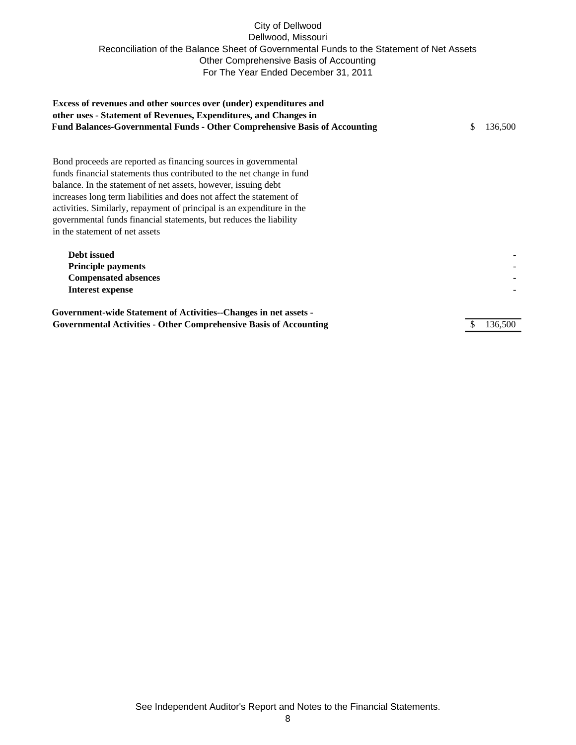## City of Dellwood Dellwood, Missouri Reconciliation of the Balance Sheet of Governmental Funds to the Statement of Net Assets Other Comprehensive Basis of Accounting For The Year Ended December 31, 2011

| Excess of revenues and other sources over (under) expenditures and<br>other uses - Statement of Revenues, Expenditures, and Changes in<br><b>Fund Balances-Governmental Funds - Other Comprehensive Basis of Accounting</b> | \$ | 136,500 |  |  |  |  |  |
|-----------------------------------------------------------------------------------------------------------------------------------------------------------------------------------------------------------------------------|----|---------|--|--|--|--|--|
| Bond proceeds are reported as financing sources in governmental                                                                                                                                                             |    |         |  |  |  |  |  |
| funds financial statements thus contributed to the net change in fund                                                                                                                                                       |    |         |  |  |  |  |  |
| balance. In the statement of net assets, however, issuing debt                                                                                                                                                              |    |         |  |  |  |  |  |
| increases long term liabilities and does not affect the statement of                                                                                                                                                        |    |         |  |  |  |  |  |
| activities. Similarly, repayment of principal is an expenditure in the                                                                                                                                                      |    |         |  |  |  |  |  |
| governmental funds financial statements, but reduces the liability                                                                                                                                                          |    |         |  |  |  |  |  |
| in the statement of net assets                                                                                                                                                                                              |    |         |  |  |  |  |  |
| <b>Debt</b> issued<br><b>Principle payments</b>                                                                                                                                                                             |    |         |  |  |  |  |  |
| <b>Compensated absences</b>                                                                                                                                                                                                 |    |         |  |  |  |  |  |
| <b>Interest expense</b>                                                                                                                                                                                                     |    |         |  |  |  |  |  |
| Government-wide Statement of Activities--Changes in net assets -                                                                                                                                                            |    |         |  |  |  |  |  |
| <b>Governmental Activities - Other Comprehensive Basis of Accounting</b>                                                                                                                                                    |    |         |  |  |  |  |  |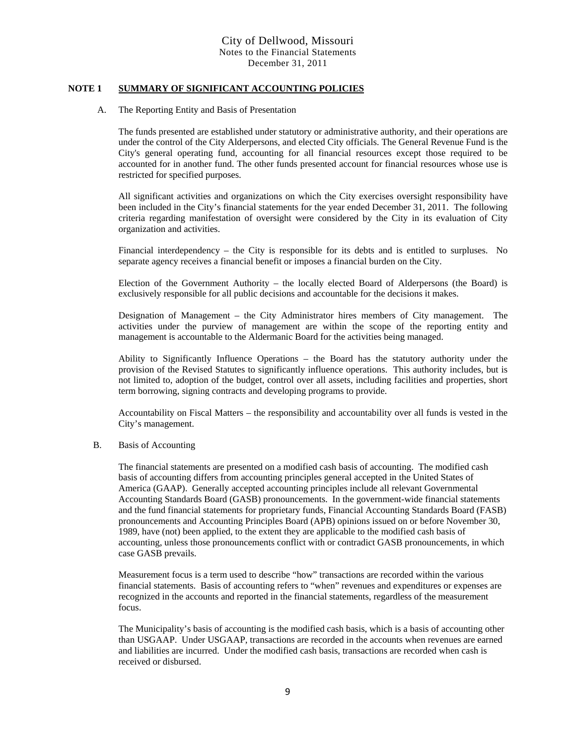#### **NOTE 1 SUMMARY OF SIGNIFICANT ACCOUNTING POLICIES**

#### A. The Reporting Entity and Basis of Presentation

The funds presented are established under statutory or administrative authority, and their operations are under the control of the City Alderpersons, and elected City officials. The General Revenue Fund is the City's general operating fund, accounting for all financial resources except those required to be accounted for in another fund. The other funds presented account for financial resources whose use is restricted for specified purposes.

All significant activities and organizations on which the City exercises oversight responsibility have been included in the City's financial statements for the year ended December 31, 2011. The following criteria regarding manifestation of oversight were considered by the City in its evaluation of City organization and activities.

Financial interdependency – the City is responsible for its debts and is entitled to surpluses. No separate agency receives a financial benefit or imposes a financial burden on the City.

Election of the Government Authority – the locally elected Board of Alderpersons (the Board) is exclusively responsible for all public decisions and accountable for the decisions it makes.

Designation of Management – the City Administrator hires members of City management. The activities under the purview of management are within the scope of the reporting entity and management is accountable to the Aldermanic Board for the activities being managed.

Ability to Significantly Influence Operations – the Board has the statutory authority under the provision of the Revised Statutes to significantly influence operations. This authority includes, but is not limited to, adoption of the budget, control over all assets, including facilities and properties, short term borrowing, signing contracts and developing programs to provide.

Accountability on Fiscal Matters – the responsibility and accountability over all funds is vested in the City's management.

#### B. Basis of Accounting

The financial statements are presented on a modified cash basis of accounting. The modified cash basis of accounting differs from accounting principles general accepted in the United States of America (GAAP). Generally accepted accounting principles include all relevant Governmental Accounting Standards Board (GASB) pronouncements. In the government-wide financial statements and the fund financial statements for proprietary funds, Financial Accounting Standards Board (FASB) pronouncements and Accounting Principles Board (APB) opinions issued on or before November 30, 1989, have (not) been applied, to the extent they are applicable to the modified cash basis of accounting, unless those pronouncements conflict with or contradict GASB pronouncements, in which case GASB prevails.

Measurement focus is a term used to describe "how" transactions are recorded within the various financial statements. Basis of accounting refers to "when" revenues and expenditures or expenses are recognized in the accounts and reported in the financial statements, regardless of the measurement focus.

The Municipality's basis of accounting is the modified cash basis, which is a basis of accounting other than USGAAP. Under USGAAP, transactions are recorded in the accounts when revenues are earned and liabilities are incurred. Under the modified cash basis, transactions are recorded when cash is received or disbursed.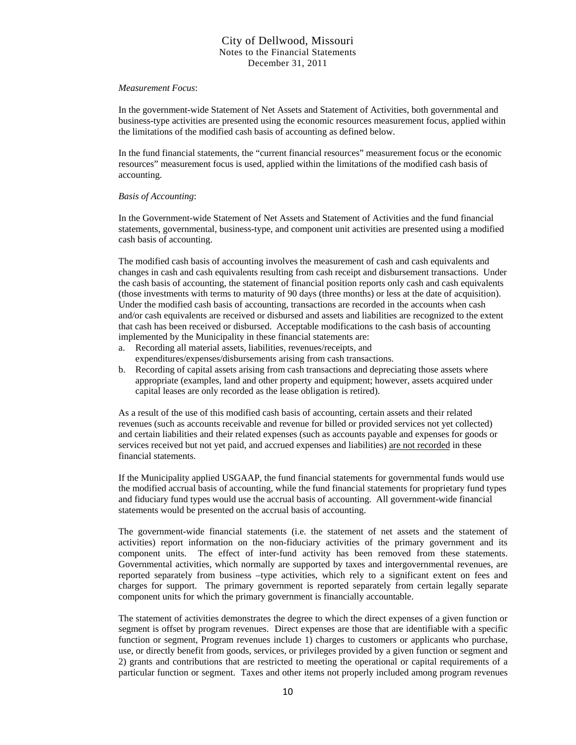#### *Measurement Focus*:

In the government-wide Statement of Net Assets and Statement of Activities, both governmental and business-type activities are presented using the economic resources measurement focus, applied within the limitations of the modified cash basis of accounting as defined below.

In the fund financial statements, the "current financial resources" measurement focus or the economic resources" measurement focus is used, applied within the limitations of the modified cash basis of accounting.

#### *Basis of Accounting*:

In the Government-wide Statement of Net Assets and Statement of Activities and the fund financial statements, governmental, business-type, and component unit activities are presented using a modified cash basis of accounting.

The modified cash basis of accounting involves the measurement of cash and cash equivalents and changes in cash and cash equivalents resulting from cash receipt and disbursement transactions. Under the cash basis of accounting, the statement of financial position reports only cash and cash equivalents (those investments with terms to maturity of 90 days (three months) or less at the date of acquisition). Under the modified cash basis of accounting, transactions are recorded in the accounts when cash and/or cash equivalents are received or disbursed and assets and liabilities are recognized to the extent that cash has been received or disbursed. Acceptable modifications to the cash basis of accounting implemented by the Municipality in these financial statements are:

- a. Recording all material assets, liabilities, revenues/receipts, and expenditures/expenses/disbursements arising from cash transactions.
- b. Recording of capital assets arising from cash transactions and depreciating those assets where appropriate (examples, land and other property and equipment; however, assets acquired under capital leases are only recorded as the lease obligation is retired).

 As a result of the use of this modified cash basis of accounting, certain assets and their related revenues (such as accounts receivable and revenue for billed or provided services not yet collected) and certain liabilities and their related expenses (such as accounts payable and expenses for goods or services received but not yet paid, and accrued expenses and liabilities) are not recorded in these financial statements.

 If the Municipality applied USGAAP, the fund financial statements for governmental funds would use the modified accrual basis of accounting, while the fund financial statements for proprietary fund types and fiduciary fund types would use the accrual basis of accounting. All government-wide financial statements would be presented on the accrual basis of accounting.

 The government-wide financial statements (i.e. the statement of net assets and the statement of activities) report information on the non-fiduciary activities of the primary government and its component units. The effect of inter-fund activity has been removed from these statements. Governmental activities, which normally are supported by taxes and intergovernmental revenues, are reported separately from business –type activities, which rely to a significant extent on fees and charges for support. The primary government is reported separately from certain legally separate component units for which the primary government is financially accountable.

 The statement of activities demonstrates the degree to which the direct expenses of a given function or segment is offset by program revenues. Direct expenses are those that are identifiable with a specific function or segment, Program revenues include 1) charges to customers or applicants who purchase, use, or directly benefit from goods, services, or privileges provided by a given function or segment and 2) grants and contributions that are restricted to meeting the operational or capital requirements of a particular function or segment. Taxes and other items not properly included among program revenues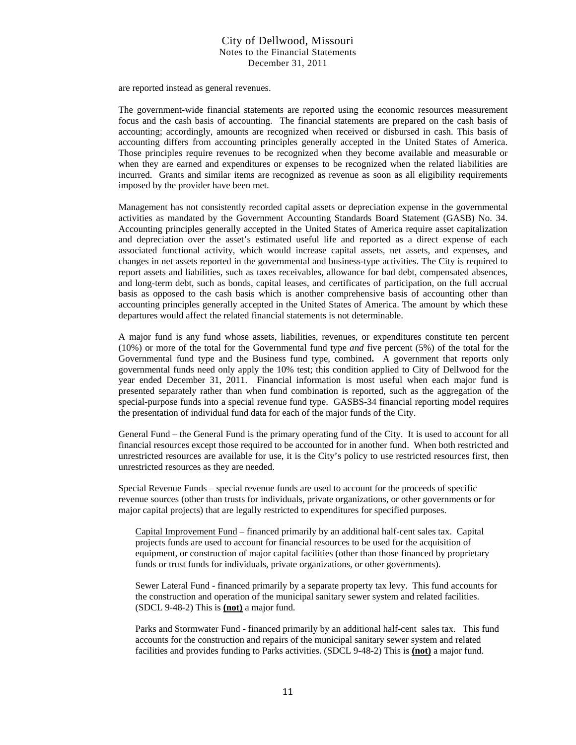are reported instead as general revenues.

 The government-wide financial statements are reported using the economic resources measurement focus and the cash basis of accounting. The financial statements are prepared on the cash basis of accounting; accordingly, amounts are recognized when received or disbursed in cash. This basis of accounting differs from accounting principles generally accepted in the United States of America. Those principles require revenues to be recognized when they become available and measurable or when they are earned and expenditures or expenses to be recognized when the related liabilities are incurred. Grants and similar items are recognized as revenue as soon as all eligibility requirements imposed by the provider have been met.

 Management has not consistently recorded capital assets or depreciation expense in the governmental activities as mandated by the Government Accounting Standards Board Statement (GASB) No. 34. Accounting principles generally accepted in the United States of America require asset capitalization and depreciation over the asset's estimated useful life and reported as a direct expense of each associated functional activity, which would increase capital assets, net assets, and expenses, and changes in net assets reported in the governmental and business-type activities. The City is required to report assets and liabilities, such as taxes receivables, allowance for bad debt, compensated absences, and long-term debt, such as bonds, capital leases, and certificates of participation, on the full accrual basis as opposed to the cash basis which is another comprehensive basis of accounting other than accounting principles generally accepted in the United States of America. The amount by which these departures would affect the related financial statements is not determinable.

A major fund is any fund whose assets, liabilities, revenues, or expenditures constitute ten percent (10%) or more of the total for the Governmental fund type *and* five percent (5%) of the total for the Governmental fund type and the Business fund type, combined**.** A government that reports only governmental funds need only apply the 10% test; this condition applied to City of Dellwood for the year ended December 31, 2011. Financial information is most useful when each major fund is presented separately rather than when fund combination is reported, such as the aggregation of the special-purpose funds into a special revenue fund type. GASBS-34 financial reporting model requires the presentation of individual fund data for each of the major funds of the City.

General Fund – the General Fund is the primary operating fund of the City. It is used to account for all financial resources except those required to be accounted for in another fund. When both restricted and unrestricted resources are available for use, it is the City's policy to use restricted resources first, then unrestricted resources as they are needed.

Special Revenue Funds – special revenue funds are used to account for the proceeds of specific revenue sources (other than trusts for individuals, private organizations, or other governments or for major capital projects) that are legally restricted to expenditures for specified purposes.

Capital Improvement Fund – financed primarily by an additional half-cent sales tax. Capital projects funds are used to account for financial resources to be used for the acquisition of equipment, or construction of major capital facilities (other than those financed by proprietary funds or trust funds for individuals, private organizations, or other governments).

Sewer Lateral Fund - financed primarily by a separate property tax levy. This fund accounts for the construction and operation of the municipal sanitary sewer system and related facilities. (SDCL 9-48-2) This is **(not)** a major fund.

Parks and Stormwater Fund - financed primarily by an additional half-cent sales tax. This fund accounts for the construction and repairs of the municipal sanitary sewer system and related facilities and provides funding to Parks activities. (SDCL 9-48-2) This is **(not)** a major fund.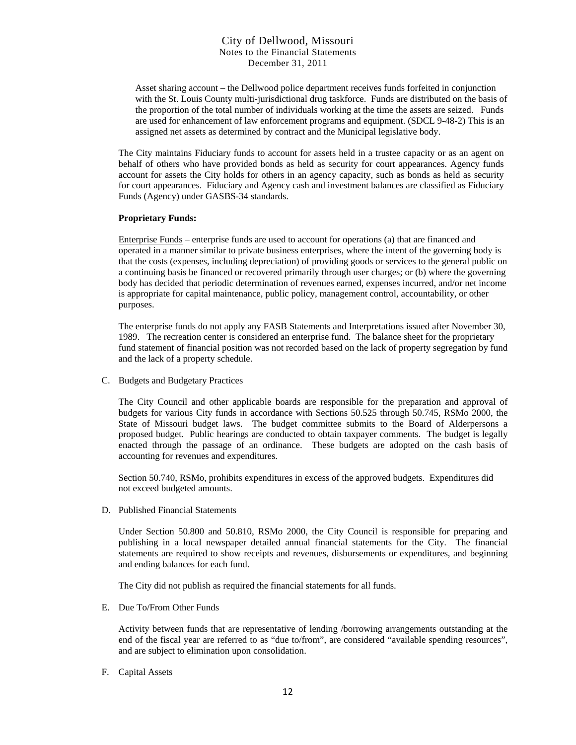Asset sharing account – the Dellwood police department receives funds forfeited in conjunction with the St. Louis County multi-jurisdictional drug taskforce. Funds are distributed on the basis of the proportion of the total number of individuals working at the time the assets are seized. Funds are used for enhancement of law enforcement programs and equipment. (SDCL 9-48-2) This is an assigned net assets as determined by contract and the Municipal legislative body.

The City maintains Fiduciary funds to account for assets held in a trustee capacity or as an agent on behalf of others who have provided bonds as held as security for court appearances. Agency funds account for assets the City holds for others in an agency capacity, such as bonds as held as security for court appearances. Fiduciary and Agency cash and investment balances are classified as Fiduciary Funds (Agency) under GASBS-34 standards.

#### **Proprietary Funds:**

Enterprise Funds – enterprise funds are used to account for operations (a) that are financed and operated in a manner similar to private business enterprises, where the intent of the governing body is that the costs (expenses, including depreciation) of providing goods or services to the general public on a continuing basis be financed or recovered primarily through user charges; or (b) where the governing body has decided that periodic determination of revenues earned, expenses incurred, and/or net income is appropriate for capital maintenance, public policy, management control, accountability, or other purposes.

The enterprise funds do not apply any FASB Statements and Interpretations issued after November 30, 1989. The recreation center is considered an enterprise fund. The balance sheet for the proprietary fund statement of financial position was not recorded based on the lack of property segregation by fund and the lack of a property schedule.

C. Budgets and Budgetary Practices

The City Council and other applicable boards are responsible for the preparation and approval of budgets for various City funds in accordance with Sections 50.525 through 50.745, RSMo 2000, the State of Missouri budget laws. The budget committee submits to the Board of Alderpersons a proposed budget. Public hearings are conducted to obtain taxpayer comments. The budget is legally enacted through the passage of an ordinance. These budgets are adopted on the cash basis of accounting for revenues and expenditures.

Section 50.740, RSMo, prohibits expenditures in excess of the approved budgets. Expenditures did not exceed budgeted amounts.

D. Published Financial Statements

Under Section 50.800 and 50.810, RSMo 2000, the City Council is responsible for preparing and publishing in a local newspaper detailed annual financial statements for the City. The financial statements are required to show receipts and revenues, disbursements or expenditures, and beginning and ending balances for each fund.

The City did not publish as required the financial statements for all funds.

E. Due To/From Other Funds

Activity between funds that are representative of lending /borrowing arrangements outstanding at the end of the fiscal year are referred to as "due to/from", are considered "available spending resources", and are subject to elimination upon consolidation.

F. Capital Assets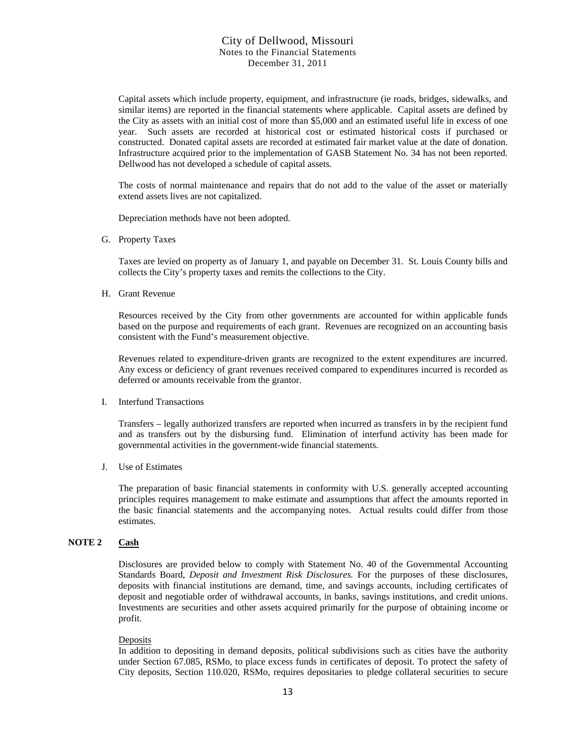Capital assets which include property, equipment, and infrastructure (ie roads, bridges, sidewalks, and similar items) are reported in the financial statements where applicable. Capital assets are defined by the City as assets with an initial cost of more than \$5,000 and an estimated useful life in excess of one year. Such assets are recorded at historical cost or estimated historical costs if purchased or constructed. Donated capital assets are recorded at estimated fair market value at the date of donation. Infrastructure acquired prior to the implementation of GASB Statement No. 34 has not been reported. Dellwood has not developed a schedule of capital assets.

The costs of normal maintenance and repairs that do not add to the value of the asset or materially extend assets lives are not capitalized.

Depreciation methods have not been adopted.

G. Property Taxes

Taxes are levied on property as of January 1, and payable on December 31. St. Louis County bills and collects the City's property taxes and remits the collections to the City.

H. Grant Revenue

Resources received by the City from other governments are accounted for within applicable funds based on the purpose and requirements of each grant. Revenues are recognized on an accounting basis consistent with the Fund's measurement objective.

Revenues related to expenditure-driven grants are recognized to the extent expenditures are incurred. Any excess or deficiency of grant revenues received compared to expenditures incurred is recorded as deferred or amounts receivable from the grantor.

#### I. Interfund Transactions

Transfers – legally authorized transfers are reported when incurred as transfers in by the recipient fund and as transfers out by the disbursing fund. Elimination of interfund activity has been made for governmental activities in the government-wide financial statements.

J. Use of Estimates

The preparation of basic financial statements in conformity with U.S. generally accepted accounting principles requires management to make estimate and assumptions that affect the amounts reported in the basic financial statements and the accompanying notes. Actual results could differ from those estimates.

#### **NOTE 2 Cash**

Disclosures are provided below to comply with Statement No. 40 of the Governmental Accounting Standards Board, *Deposit and Investment Risk Disclosures.* For the purposes of these disclosures, deposits with financial institutions are demand, time, and savings accounts, including certificates of deposit and negotiable order of withdrawal accounts, in banks, savings institutions, and credit unions. Investments are securities and other assets acquired primarily for the purpose of obtaining income or profit.

#### **Deposits**

In addition to depositing in demand deposits, political subdivisions such as cities have the authority under Section 67.085, RSMo, to place excess funds in certificates of deposit. To protect the safety of City deposits, Section 110.020, RSMo, requires depositaries to pledge collateral securities to secure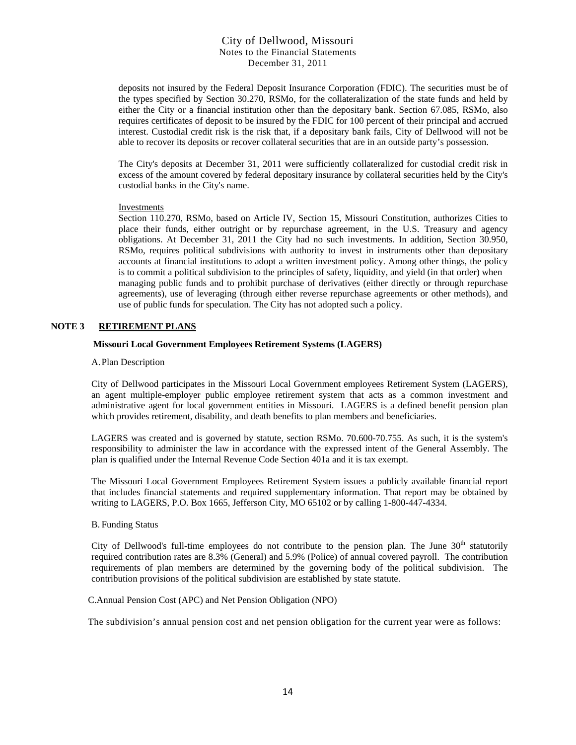deposits not insured by the Federal Deposit Insurance Corporation (FDIC). The securities must be of the types specified by Section 30.270, RSMo, for the collateralization of the state funds and held by either the City or a financial institution other than the depositary bank. Section 67.085, RSMo, also requires certificates of deposit to be insured by the FDIC for 100 percent of their principal and accrued interest. Custodial credit risk is the risk that, if a depositary bank fails, City of Dellwood will not be able to recover its deposits or recover collateral securities that are in an outside party's possession.

The City's deposits at December 31, 2011 were sufficiently collateralized for custodial credit risk in excess of the amount covered by federal depositary insurance by collateral securities held by the City's custodial banks in the City's name.

#### **Investments**

Section 110.270, RSMo, based on Article IV, Section 15, Missouri Constitution, authorizes Cities to place their funds, either outright or by repurchase agreement, in the U.S. Treasury and agency obligations. At December 31, 2011 the City had no such investments. In addition, Section 30.950, RSMo, requires political subdivisions with authority to invest in instruments other than depositary accounts at financial institutions to adopt a written investment policy. Among other things, the policy is to commit a political subdivision to the principles of safety, liquidity, and yield (in that order) when managing public funds and to prohibit purchase of derivatives (either directly or through repurchase agreements), use of leveraging (through either reverse repurchase agreements or other methods), and use of public funds for speculation. The City has not adopted such a policy.

#### **NOTE 3 RETIREMENT PLANS**

#### **Missouri Local Government Employees Retirement Systems (LAGERS)**

#### A. Plan Description

City of Dellwood participates in the Missouri Local Government employees Retirement System (LAGERS), an agent multiple-employer public employee retirement system that acts as a common investment and administrative agent for local government entities in Missouri. LAGERS is a defined benefit pension plan which provides retirement, disability, and death benefits to plan members and beneficiaries.

LAGERS was created and is governed by statute, section RSMo. 70.600-70.755. As such, it is the system's responsibility to administer the law in accordance with the expressed intent of the General Assembly. The plan is qualified under the Internal Revenue Code Section 401a and it is tax exempt.

The Missouri Local Government Employees Retirement System issues a publicly available financial report that includes financial statements and required supplementary information. That report may be obtained by writing to LAGERS, P.O. Box 1665, Jefferson City, MO 65102 or by calling 1-800-447-4334.

#### B. Funding Status

City of Dellwood's full-time employees do not contribute to the pension plan. The June  $30<sup>th</sup>$  statutorily required contribution rates are 8.3% (General) and 5.9% (Police) of annual covered payroll. The contribution requirements of plan members are determined by the governing body of the political subdivision. The contribution provisions of the political subdivision are established by state statute.

#### C.Annual Pension Cost (APC) and Net Pension Obligation (NPO)

The subdivision's annual pension cost and net pension obligation for the current year were as follows: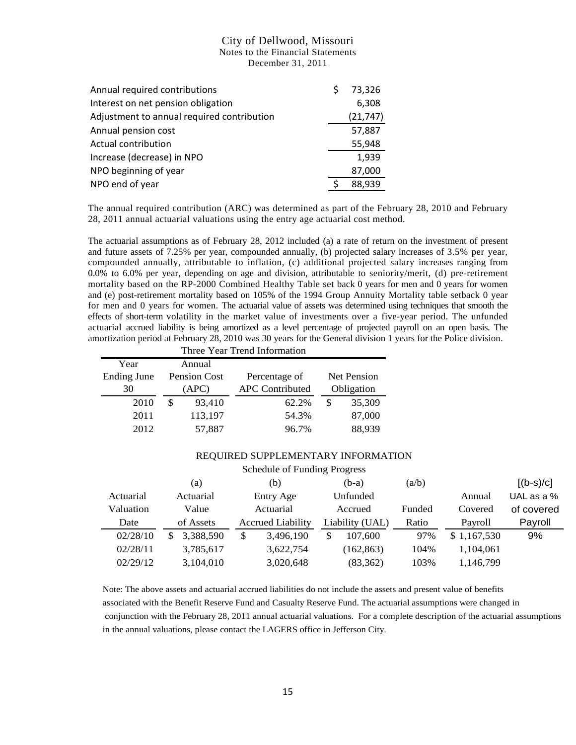| Annual required contributions              | Ś | 73,326    |
|--------------------------------------------|---|-----------|
| Interest on net pension obligation         |   | 6,308     |
| Adjustment to annual required contribution |   | (21, 747) |
| Annual pension cost                        |   | 57,887    |
| Actual contribution                        |   | 55,948    |
| Increase (decrease) in NPO                 |   | 1,939     |
| NPO beginning of year                      |   | 87,000    |
| NPO end of year                            |   | 88,939    |

The annual required contribution (ARC) was determined as part of the February 28, 2010 and February 28, 2011 annual actuarial valuations using the entry age actuarial cost method.

The actuarial assumptions as of February 28, 2012 included (a) a rate of return on the investment of present and future assets of 7.25% per year, compounded annually, (b) projected salary increases of 3.5% per year, compounded annually, attributable to inflation, (c) additional projected salary increases ranging from 0.0% to 6.0% per year, depending on age and division, attributable to seniority/merit, (d) pre-retirement mortality based on the RP-2000 Combined Healthy Table set back 0 years for men and 0 years for women and (e) post-retirement mortality based on 105% of the 1994 Group Annuity Mortality table setback 0 year for men and 0 years for women. The actuarial value of assets was determined using techniques that smooth the effects of short-term volatility in the market value of investments over a five-year period. The unfunded actuarial accrued liability is being amortized as a level percentage of projected payroll on an open basis. The amortization period at February 28, 2010 was 30 years for the General division 1 years for the Police division.

| Three Year Trend Information |              |         |                        |            |                    |  |  |  |
|------------------------------|--------------|---------|------------------------|------------|--------------------|--|--|--|
| Year                         |              | Annual  |                        |            |                    |  |  |  |
| <b>Ending June</b>           | Pension Cost |         | Percentage of          |            | <b>Net Pension</b> |  |  |  |
| 30                           | (APC)        |         | <b>APC</b> Contributed | Obligation |                    |  |  |  |
| 2010                         | \$           | 93,410  | 62.2%                  | \$         | 35,309             |  |  |  |
| 2011                         |              | 113,197 | 54.3%                  |            | 87,000             |  |  |  |
| 2012                         |              | 57,887  | 96.7%                  |            | 88,939             |  |  |  |

#### REQUIRED SUPPLEMENTARY INFORMATION

|           | (a)             | (b)                      |    | $(b-a)$         | (a/b)  |             | $[(b-s)/c]$  |
|-----------|-----------------|--------------------------|----|-----------------|--------|-------------|--------------|
| Actuarial | Actuarial       | Entry Age                |    | Unfunded        |        | Annual      | UAL as a $%$ |
| Valuation | Value           | Actuarial                |    | Accrued         | Funded | Covered     | of covered   |
| Date      | of Assets       | <b>Accrued Liability</b> |    | Liability (UAL) | Ratio  | Payroll     | Payroll      |
| 02/28/10  | 3,388,590<br>\$ | \$<br>3,496,190          | \$ | 107,600         | 97%    | \$1,167,530 | 9%           |
| 02/28/11  | 3,785,617       | 3,622,754                |    | (162, 863)      | 104%   | 1,104,061   |              |
| 02/29/12  | 3,104,010       | 3,020,648                |    | (83, 362)       | 103%   | 1,146,799   |              |

Note: The above assets and actuarial accrued liabilities do not include the assets and present value of benefits associated with the Benefit Reserve Fund and Casualty Reserve Fund. The actuarial assumptions were changed in conjunction with the February  $28$ ,  $2011$  annual actuarial valuations. For a complete description of the actuarial assumptions  $\frac{1}{10}$ in the annual valuations, please contact the LAGERS office in Jefferson City.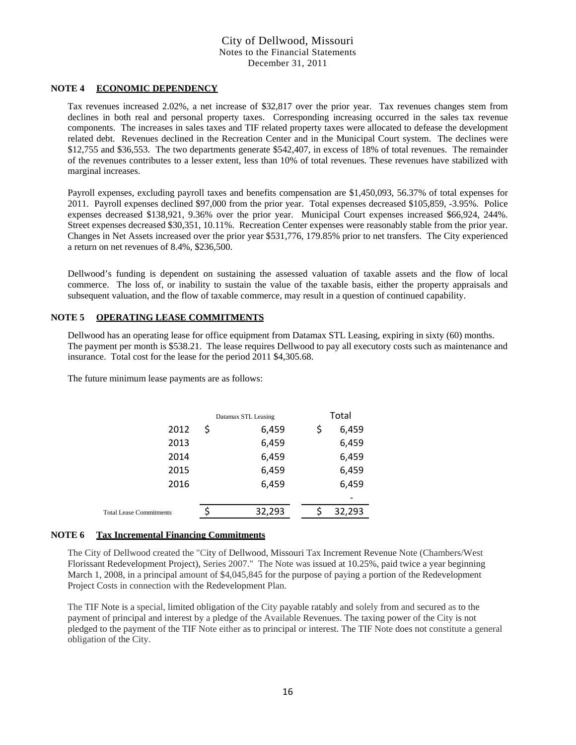#### **NOTE 4 ECONOMIC DEPENDENCY**

Tax revenues increased 2.02%, a net increase of \$32,817 over the prior year. Tax revenues changes stem from declines in both real and personal property taxes. Corresponding increasing occurred in the sales tax revenue components. The increases in sales taxes and TIF related property taxes were allocated to defease the development related debt. Revenues declined in the Recreation Center and in the Municipal Court system. The declines were \$12,755 and \$36,553. The two departments generate \$542,407, in excess of 18% of total revenues. The remainder of the revenues contributes to a lesser extent, less than 10% of total revenues. These revenues have stabilized with marginal increases.

Payroll expenses, excluding payroll taxes and benefits compensation are \$1,450,093, 56.37% of total expenses for 2011. Payroll expenses declined \$97,000 from the prior year. Total expenses decreased \$105,859, -3.95%. Police expenses decreased \$138,921, 9.36% over the prior year. Municipal Court expenses increased \$66,924, 244%. Street expenses decreased \$30,351, 10.11%. Recreation Center expenses were reasonably stable from the prior year. Changes in Net Assets increased over the prior year \$531,776, 179.85% prior to net transfers. The City experienced a return on net revenues of 8.4%, \$236,500.

Dellwood's funding is dependent on sustaining the assessed valuation of taxable assets and the flow of local commerce. The loss of, or inability to sustain the value of the taxable basis, either the property appraisals and subsequent valuation, and the flow of taxable commerce, may result in a question of continued capability.

#### **NOTE 5 OPERATING LEASE COMMITMENTS**

Dellwood has an operating lease for office equipment from Datamax STL Leasing, expiring in sixty (60) months. The payment per month is \$538.21. The lease requires Dellwood to pay all executory costs such as maintenance and insurance. Total cost for the lease for the period 2011 \$4,305.68.

The future minimum lease payments are as follows:

|                                | Datamax STL Leasing | Total |        |  |  |
|--------------------------------|---------------------|-------|--------|--|--|
| 2012                           | \$<br>6,459         | \$    | 6,459  |  |  |
| 2013                           | 6,459               |       | 6,459  |  |  |
| 2014                           | 6,459               |       | 6,459  |  |  |
| 2015                           | 6,459               |       | 6,459  |  |  |
| 2016                           | 6,459               |       | 6,459  |  |  |
|                                |                     |       |        |  |  |
| <b>Total Lease Commitments</b> | 32,293              |       | 32,293 |  |  |
|                                |                     |       |        |  |  |

#### **NOTE 6 Tax Incremental Financing Commitments**

The City of Dellwood created the "City of Dellwood, Missouri Tax Increment Revenue Note (Chambers/West Florissant Redevelopment Project), Series 2007." The Note was issued at 10.25%, paid twice a year beginning March 1, 2008, in a principal amount of \$4,045,845 for the purpose of paying a portion of the Redevelopment Project Costs in connection with the Redevelopment Plan.

The TIF Note is a special, limited obligation of the City payable ratably and solely from and secured as to the payment of principal and interest by a pledge of the Available Revenues. The taxing power of the City is not pledged to the payment of the TIF Note either as to principal or interest. The TIF Note does not constitute a general obligation of the City.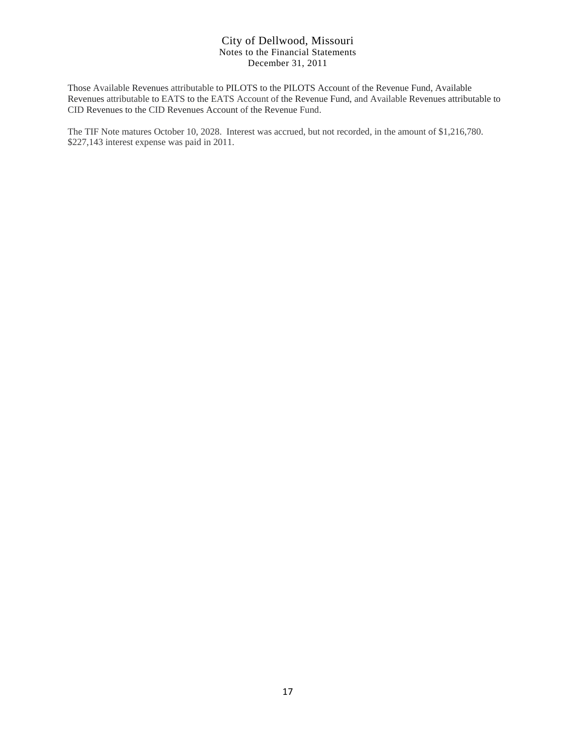Those Available Revenues attributable to PILOTS to the PILOTS Account of the Revenue Fund, Available Revenues attributable to EATS to the EATS Account of the Revenue Fund, and Available Revenues attributable to CID Revenues to the CID Revenues Account of the Revenue Fund.

The TIF Note matures October 10, 2028. Interest was accrued, but not recorded, in the amount of \$1,216,780. \$227,143 interest expense was paid in 2011.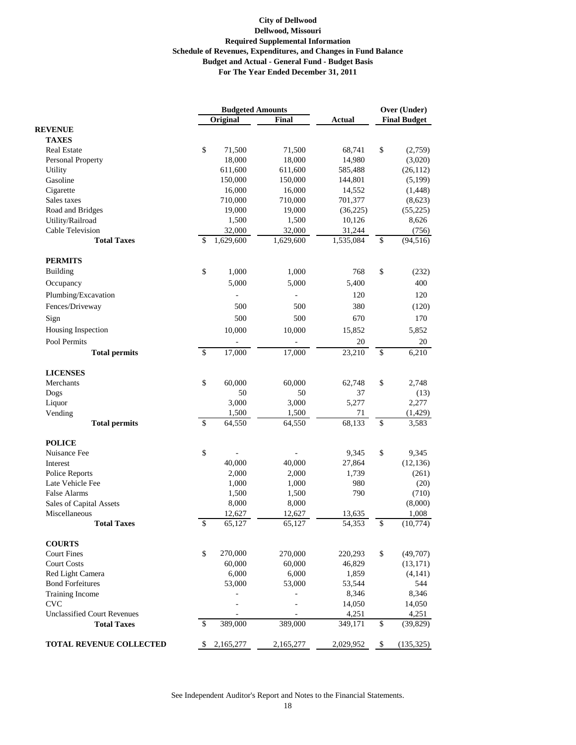|                                          | <b>Budgeted Amounts</b>  |                  |                     |                  | Over (Under)        |                    |  |
|------------------------------------------|--------------------------|------------------|---------------------|------------------|---------------------|--------------------|--|
|                                          |                          | Original         | <b>Final</b>        | <b>Actual</b>    | <b>Final Budget</b> |                    |  |
| <b>REVENUE</b>                           |                          |                  |                     |                  |                     |                    |  |
| <b>TAXES</b>                             |                          |                  |                     |                  |                     |                    |  |
| <b>Real Estate</b>                       | \$                       | 71,500           | 71,500              | 68,741           | \$                  | (2,759)            |  |
| Personal Property                        |                          | 18,000           | 18,000              | 14,980           |                     | (3,020)            |  |
| Utility                                  |                          | 611,600          | 611,600             | 585,488          |                     | (26, 112)          |  |
| Gasoline                                 |                          | 150,000          | 150,000             | 144,801          |                     | (5,199)            |  |
| Cigarette                                |                          | 16,000           | 16,000              | 14,552           |                     | (1, 448)           |  |
| Sales taxes                              |                          | 710,000          | 710,000             | 701,377          |                     | (8,623)            |  |
| Road and Bridges                         |                          | 19,000           | 19,000              | (36, 225)        |                     | (55, 225)          |  |
| Utility/Railroad                         |                          | 1,500<br>32,000  | 1,500               | 10,126<br>31,244 |                     | 8,626              |  |
| Cable Television<br><b>Total Taxes</b>   | \$                       | 1,629,600        | 32,000<br>1,629,600 | 1,535,084        | \$                  | (756)<br>(94, 516) |  |
| <b>PERMITS</b>                           |                          |                  |                     |                  |                     |                    |  |
| <b>Building</b>                          | \$                       | 1,000            | 1,000               | 768              | \$                  | (232)              |  |
| Occupancy                                |                          | 5,000            | 5,000               | 5,400            |                     | 400                |  |
| Plumbing/Excavation                      |                          |                  |                     | 120              |                     | 120                |  |
| Fences/Driveway                          |                          | 500              | 500                 | 380              |                     | (120)              |  |
| Sign                                     |                          | 500              | 500                 | 670              |                     | 170                |  |
| Housing Inspection                       |                          | 10,000           | 10,000              | 15,852           |                     | 5,852              |  |
|                                          |                          |                  |                     |                  |                     |                    |  |
| Pool Permits<br><b>Total permits</b>     | $\overline{\mathcal{S}}$ | 17,000           | 17,000              | 20<br>23,210     | \$                  | 20<br>6,210        |  |
| <b>LICENSES</b>                          |                          |                  |                     |                  |                     |                    |  |
| Merchants                                | \$                       | 60,000           | 60,000              | 62,748           | \$                  | 2,748              |  |
| Dogs                                     |                          | 50               | 50                  | 37               |                     | (13)               |  |
| Liquor                                   |                          | 3,000            | 3,000               | 5,277            |                     | 2,277              |  |
| Vending                                  |                          | 1,500            | 1,500               | 71               |                     | (1, 429)           |  |
| <b>Total permits</b>                     | \$                       | 64,550           | 64,550              | 68,133           | \$                  | 3,583              |  |
| <b>POLICE</b>                            |                          |                  |                     |                  |                     |                    |  |
| Nuisance Fee                             | \$                       |                  |                     | 9,345            | \$                  | 9,345              |  |
| Interest                                 |                          | 40,000           | 40,000              | 27,864           |                     | (12, 136)          |  |
| Police Reports                           |                          | 2,000            | 2,000               | 1,739            |                     | (261)              |  |
| Late Vehicle Fee                         |                          | 1,000            | 1,000               | 980              |                     | (20)               |  |
| False Alarms                             |                          | 1,500            | 1,500               | 790              |                     | (710)              |  |
| Sales of Capital Assets<br>Miscellaneous |                          | 8,000            | 8,000               |                  |                     | (8,000)            |  |
| <b>Total Taxes</b>                       | \$                       | 12,627<br>65,127 | 12,627<br>65,127    | 13,635<br>54,353 | \$                  | 1,008<br>(10,774)  |  |
| <b>COURTS</b>                            |                          |                  |                     |                  |                     |                    |  |
| <b>Court Fines</b>                       | \$                       | 270,000          | 270,000             | 220,293          | \$                  | (49,707)           |  |
| <b>Court Costs</b>                       |                          | 60,000           | 60,000              | 46,829           |                     | (13, 171)          |  |
| Red Light Camera                         |                          | 6,000            | 6,000               | 1,859            |                     | (4,141)            |  |
| <b>Bond Forfeitures</b>                  |                          | 53,000           | 53,000              | 53,544           |                     | 544                |  |
| Training Income                          |                          |                  |                     | 8,346            |                     | 8,346              |  |
| <b>CVC</b>                               |                          |                  |                     | 14,050           |                     | 14,050             |  |
| <b>Unclassified Court Revenues</b>       |                          |                  |                     | 4,251            |                     | 4,251              |  |
| <b>Total Taxes</b>                       | \$                       | 389,000          | 389,000             | 349,171          | \$                  | (39, 829)          |  |
| TOTAL REVENUE COLLECTED                  | \$                       | 2,165,277        | 2,165,277           | 2,029,952        | \$                  | (135, 325)         |  |

See Independent Auditor's Report and Notes to the Financial Statements.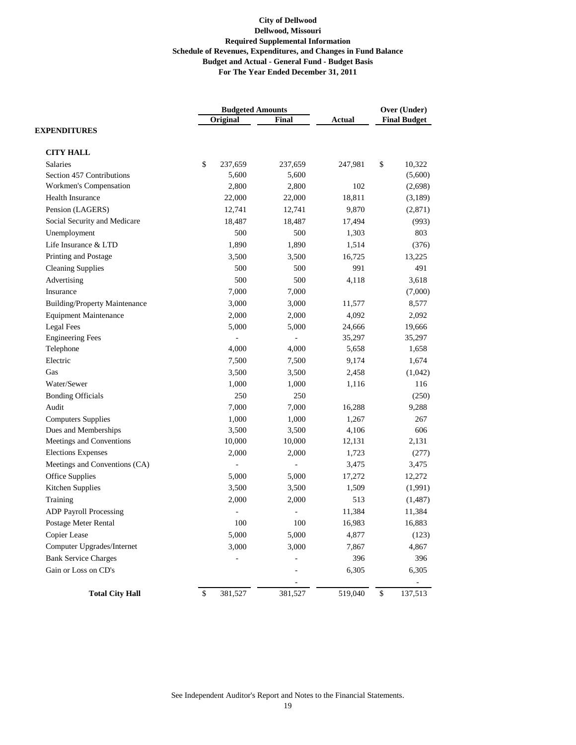|                                      | <b>Budgeted Amounts</b>              |                          |               | Over (Under)            |  |
|--------------------------------------|--------------------------------------|--------------------------|---------------|-------------------------|--|
|                                      | Original                             | Final                    | <b>Actual</b> | <b>Final Budget</b>     |  |
| <b>EXPENDITURES</b>                  |                                      |                          |               |                         |  |
| <b>CITY HALL</b>                     |                                      |                          |               |                         |  |
| <b>Salaries</b>                      | \$<br>237,659                        | 237,659                  | 247,981       | \$<br>10,322            |  |
| Section 457 Contributions            | 5,600                                | 5,600                    |               | (5,600)                 |  |
| Workmen's Compensation               | 2,800                                | 2,800                    | 102           | (2,698)                 |  |
| Health Insurance                     | 22,000                               | 22,000                   | 18,811        | (3,189)                 |  |
| Pension (LAGERS)                     | 12,741                               | 12,741                   | 9,870         | (2,871)                 |  |
| Social Security and Medicare         | 18,487                               | 18,487                   | 17,494        | (993)                   |  |
| Unemployment                         | 500                                  | 500                      | 1,303         | 803                     |  |
| Life Insurance & LTD                 | 1,890                                | 1,890                    | 1,514         | (376)                   |  |
| Printing and Postage                 | 3,500                                | 3,500                    | 16,725        | 13,225                  |  |
| <b>Cleaning Supplies</b>             | 500                                  | 500                      | 991           | 491                     |  |
| Advertising                          | 500                                  | 500                      | 4,118         | 3,618                   |  |
| Insurance                            | 7,000                                | 7,000                    |               | (7,000)                 |  |
| <b>Building/Property Maintenance</b> | 3,000                                | 3,000                    | 11,577        | 8,577                   |  |
| <b>Equipment Maintenance</b>         | 2,000                                | 2,000                    | 4,092         | 2,092                   |  |
| <b>Legal Fees</b>                    | 5,000                                | 5,000                    | 24,666        | 19,666                  |  |
| <b>Engineering Fees</b>              |                                      |                          | 35,297        | 35,297                  |  |
| Telephone                            | 4,000                                | 4,000                    | 5,658         | 1,658                   |  |
| Electric                             | 7,500                                | 7,500                    | 9,174         | 1,674                   |  |
| Gas                                  | 3,500                                | 3,500                    | 2,458         | (1,042)                 |  |
| Water/Sewer                          | 1,000                                | 1,000                    | 1,116         | 116                     |  |
| <b>Bonding Officials</b>             | 250                                  | 250                      |               | (250)                   |  |
| Audit                                | 7,000                                | 7,000                    | 16,288        | 9,288                   |  |
| <b>Computers Supplies</b>            | 1,000                                | 1,000                    | 1,267         | 267                     |  |
| Dues and Memberships                 | 3,500                                | 3,500                    | 4,106         | 606                     |  |
| Meetings and Conventions             | 10,000                               | 10,000                   | 12,131        | 2,131                   |  |
| <b>Elections Expenses</b>            | 2,000                                | 2,000                    | 1,723         | (277)                   |  |
| Meetings and Conventions (CA)        |                                      | $\overline{\phantom{0}}$ | 3,475         | 3,475                   |  |
| Office Supplies                      | 5,000                                | 5,000                    | 17,272        | 12,272                  |  |
| Kitchen Supplies                     | 3,500                                | 3,500                    | 1,509         | (1,991)                 |  |
| Training                             | 2,000                                | 2,000                    | 513           | (1, 487)                |  |
| <b>ADP Payroll Processing</b>        |                                      |                          | 11,384        | 11,384                  |  |
| Postage Meter Rental                 | 100                                  | 100                      | 16,983        | 16,883                  |  |
| Copier Lease                         | 5,000                                | 5,000                    | 4,877         | (123)                   |  |
| Computer Upgrades/Internet           | 3,000                                | 3,000                    | 7,867         | 4,867                   |  |
| <b>Bank Service Charges</b>          |                                      |                          | 396           | 396                     |  |
| Gain or Loss on CD's                 |                                      |                          | 6,305         | 6,305                   |  |
|                                      |                                      |                          |               |                         |  |
| <b>Total City Hall</b>               | $\boldsymbol{\mathsf{S}}$<br>381,527 | 381,527                  | 519,040       | $\mathbb{S}$<br>137,513 |  |

See Independent Auditor's Report and Notes to the Financial Statements.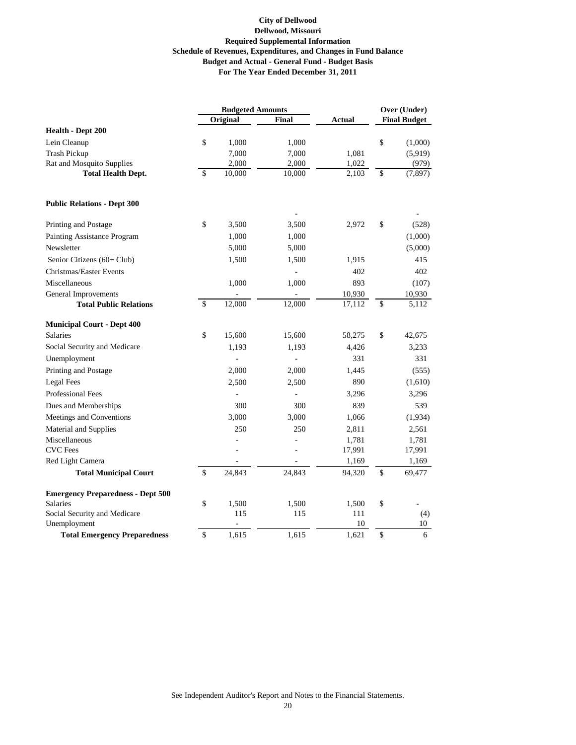|                                              | <b>Budgeted Amounts</b> |                     |        | Over (Under) |    |                     |
|----------------------------------------------|-------------------------|---------------------|--------|--------------|----|---------------------|
|                                              |                         | Original            | Final  | Actual       |    | <b>Final Budget</b> |
| Health - Dept 200                            |                         |                     |        |              |    |                     |
| Lein Cleanup                                 | \$                      | 1,000               | 1,000  |              | \$ | (1,000)             |
| <b>Trash Pickup</b>                          |                         | 7,000               | 7,000  | 1,081        |    | (5,919)             |
| Rat and Mosquito Supplies                    |                         | 2,000               | 2,000  | 1,022        |    | (979)               |
| <b>Total Health Dept.</b>                    | \$                      | $\overline{10,000}$ | 10,000 | 2,103        | \$ | (7, 897)            |
| <b>Public Relations - Dept 300</b>           |                         |                     |        |              |    |                     |
| Printing and Postage                         | \$                      | 3,500               | 3,500  | 2,972        | \$ | (528)               |
| Painting Assistance Program                  |                         | 1,000               | 1,000  |              |    | (1,000)             |
| Newsletter                                   |                         | 5,000               | 5,000  |              |    | (5,000)             |
| Senior Citizens (60+ Club)                   |                         | 1,500               | 1,500  | 1,915        |    | 415                 |
| Christmas/Easter Events                      |                         |                     | ÷,     | 402          |    | 402                 |
| Miscellaneous                                |                         | 1,000               | 1,000  | 893          |    | (107)               |
| General Improvements                         |                         |                     |        | 10,930       |    | 10,930              |
| <b>Total Public Relations</b>                | $\mathsf{\$}$           | 12,000              | 12,000 | 17,112       | \$ | 5,112               |
| <b>Municipal Court - Dept 400</b>            |                         |                     |        |              |    |                     |
| <b>Salaries</b>                              | \$                      | 15,600              | 15,600 | 58,275       | \$ | 42,675              |
| Social Security and Medicare                 |                         | 1,193               | 1,193  | 4,426        |    | 3,233               |
| Unemployment                                 |                         |                     | ÷,     | 331          |    | 331                 |
| Printing and Postage                         |                         | 2,000               | 2,000  | 1,445        |    | (555)               |
| Legal Fees                                   |                         | 2,500               | 2,500  | 890          |    | (1,610)             |
| <b>Professional Fees</b>                     |                         |                     | ÷,     | 3,296        |    | 3,296               |
| Dues and Memberships                         |                         | 300                 | 300    | 839          |    | 539                 |
| Meetings and Conventions                     |                         | 3,000               | 3,000  | 1,066        |    | (1,934)             |
| Material and Supplies                        |                         | 250                 | 250    | 2,811        |    | 2,561               |
| Miscellaneous                                |                         | L.                  | L,     | 1,781        |    | 1,781               |
| <b>CVC</b> Fees                              |                         |                     | L,     | 17,991       |    | 17,991              |
| Red Light Camera                             |                         |                     |        | 1,169        |    | 1,169               |
| <b>Total Municipal Court</b>                 | \$                      | 24,843              | 24,843 | 94,320       | \$ | 69,477              |
| <b>Emergency Preparedness - Dept 500</b>     |                         |                     |        |              |    |                     |
| <b>Salaries</b>                              | \$                      | 1,500               | 1,500  | 1,500        | \$ |                     |
| Social Security and Medicare<br>Unemployment |                         | 115                 | 115    | 111<br>10    |    | (4)<br>10           |
| <b>Total Emergency Preparedness</b>          | \$                      | 1,615               | 1.615  | 1,621        | \$ | 6                   |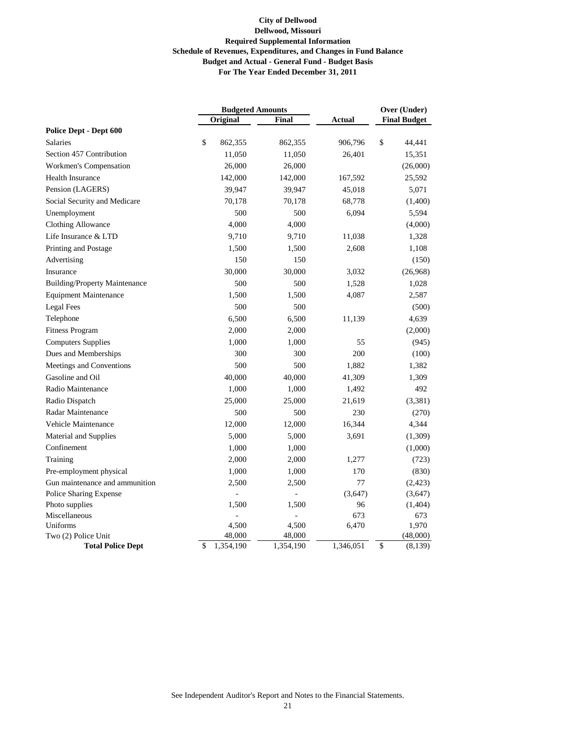|                                      | <b>Budgeted Amounts</b> |           |               | Over (Under)        |  |
|--------------------------------------|-------------------------|-----------|---------------|---------------------|--|
|                                      | Original                | Final     | <b>Actual</b> | <b>Final Budget</b> |  |
| Police Dept - Dept 600               |                         |           |               |                     |  |
| <b>Salaries</b>                      | \$<br>862,355           | 862,355   | 906,796       | \$<br>44,441        |  |
| Section 457 Contribution             | 11,050                  | 11,050    | 26,401        | 15,351              |  |
| Workmen's Compensation               | 26,000                  | 26,000    |               | (26,000)            |  |
| Health Insurance                     | 142,000                 | 142,000   | 167,592       | 25,592              |  |
| Pension (LAGERS)                     | 39,947                  | 39,947    | 45,018        | 5,071               |  |
| Social Security and Medicare         | 70,178                  | 70,178    | 68,778        | (1,400)             |  |
| Unemployment                         | 500                     | 500       | 6,094         | 5,594               |  |
| <b>Clothing Allowance</b>            | 4,000                   | 4,000     |               | (4,000)             |  |
| Life Insurance & LTD                 | 9,710                   | 9,710     | 11,038        | 1,328               |  |
| Printing and Postage                 | 1,500                   | 1,500     | 2,608         | 1,108               |  |
| Advertising                          | 150                     | 150       |               | (150)               |  |
| Insurance                            | 30,000                  | 30,000    | 3,032         | (26,968)            |  |
| <b>Building/Property Maintenance</b> | 500                     | 500       | 1,528         | 1,028               |  |
| <b>Equipment Maintenance</b>         | 1,500                   | 1,500     | 4,087         | 2,587               |  |
| Legal Fees                           | 500                     | 500       |               | (500)               |  |
| Telephone                            | 6,500                   | 6,500     | 11,139        | 4,639               |  |
| <b>Fitness Program</b>               | 2,000                   | 2,000     |               | (2,000)             |  |
| <b>Computers Supplies</b>            | 1,000                   | 1,000     | 55            | (945)               |  |
| Dues and Memberships                 | 300                     | 300       | 200           | (100)               |  |
| Meetings and Conventions             | 500                     | 500       | 1,882         | 1,382               |  |
| Gasoline and Oil                     | 40,000                  | 40,000    | 41,309        | 1,309               |  |
| Radio Maintenance                    | 1,000                   | 1,000     | 1,492         | 492                 |  |
| Radio Dispatch                       | 25,000                  | 25,000    | 21,619        | (3, 381)            |  |
| Radar Maintenance                    | 500                     | 500       | 230           | (270)               |  |
| Vehicle Maintenance                  | 12,000                  | 12,000    | 16,344        | 4,344               |  |
| Material and Supplies                | 5,000                   | 5,000     | 3,691         | (1,309)             |  |
| Confinement                          | 1,000                   | 1,000     |               | (1,000)             |  |
| Training                             | 2,000                   | 2,000     | 1,277         | (723)               |  |
| Pre-employment physical              | 1,000                   | 1,000     | 170           | (830)               |  |
| Gun maintenance and ammunition       | 2,500                   | 2,500     | 77            | (2,423)             |  |
| Police Sharing Expense               |                         |           | (3,647)       | (3,647)             |  |
| Photo supplies                       | 1,500                   | 1,500     | 96            | (1,404)             |  |
| Miscellaneous                        |                         |           | 673           | 673                 |  |
| Uniforms                             | 4,500                   | 4,500     | 6,470         | 1,970               |  |
| Two (2) Police Unit                  | 48,000                  | 48,000    |               | (48,000)            |  |
| <b>Total Police Dept</b>             | \$<br>1,354,190         | 1,354,190 | 1,346,051     | \$<br>(8,139)       |  |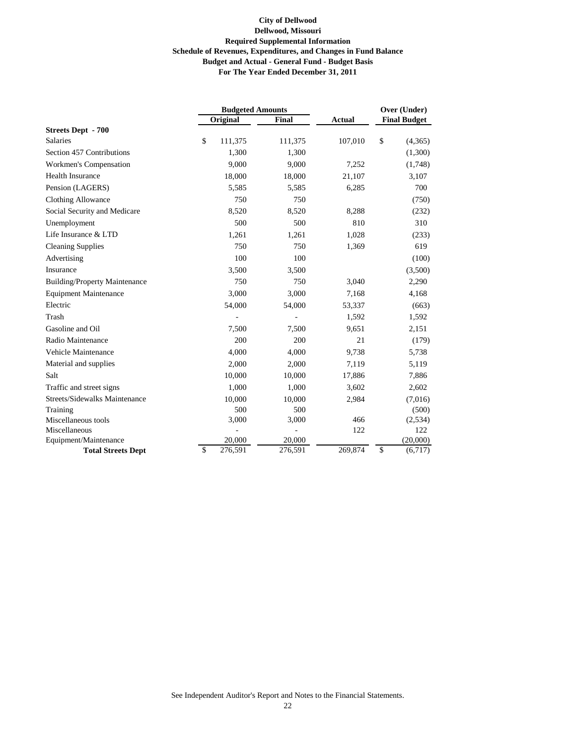|                                      | <b>Budgeted Amounts</b> |         |               | Over (Under)        |  |
|--------------------------------------|-------------------------|---------|---------------|---------------------|--|
|                                      | Original                | Final   | <b>Actual</b> | <b>Final Budget</b> |  |
| <b>Streets Dept - 700</b>            |                         |         |               |                     |  |
| <b>Salaries</b>                      | \$<br>111,375           | 111,375 | 107,010       | \$<br>(4,365)       |  |
| Section 457 Contributions            | 1,300                   | 1,300   |               | (1,300)             |  |
| Workmen's Compensation               | 9,000                   | 9,000   | 7,252         | (1,748)             |  |
| <b>Health Insurance</b>              | 18,000                  | 18,000  | 21,107        | 3,107               |  |
| Pension (LAGERS)                     | 5,585                   | 5,585   | 6,285         | 700                 |  |
| Clothing Allowance                   | 750                     | 750     |               | (750)               |  |
| Social Security and Medicare         | 8,520                   | 8,520   | 8,288         | (232)               |  |
| Unemployment                         | 500                     | 500     | 810           | 310                 |  |
| Life Insurance & LTD                 | 1,261                   | 1,261   | 1,028         | (233)               |  |
| <b>Cleaning Supplies</b>             | 750                     | 750     | 1,369         | 619                 |  |
| Advertising                          | 100                     | 100     |               | (100)               |  |
| Insurance                            | 3,500                   | 3,500   |               | (3,500)             |  |
| <b>Building/Property Maintenance</b> | 750                     | 750     | 3,040         | 2,290               |  |
| <b>Equipment Maintenance</b>         | 3,000                   | 3,000   | 7,168         | 4,168               |  |
| Electric                             | 54,000                  | 54,000  | 53,337        | (663)               |  |
| Trash                                |                         |         | 1,592         | 1,592               |  |
| Gasoline and Oil                     | 7,500                   | 7,500   | 9,651         | 2,151               |  |
| Radio Maintenance                    | 200                     | 200     | 21            | (179)               |  |
| Vehicle Maintenance                  | 4,000                   | 4,000   | 9,738         | 5,738               |  |
| Material and supplies                | 2,000                   | 2,000   | 7,119         | 5,119               |  |
| Salt                                 | 10,000                  | 10,000  | 17,886        | 7,886               |  |
| Traffic and street signs             | 1,000                   | 1,000   | 3,602         | 2,602               |  |
| Streets/Sidewalks Maintenance        | 10,000                  | 10,000  | 2,984         | (7,016)             |  |
| Training                             | 500                     | 500     |               | (500)               |  |
| Miscellaneous tools                  | 3,000                   | 3,000   | 466           | (2,534)             |  |
| Miscellaneous                        |                         |         | 122           | 122                 |  |
| Equipment/Maintenance                | 20,000                  | 20,000  |               | (20,000)            |  |
| <b>Total Streets Dept</b>            | \$<br>276,591           | 276,591 | 269,874       | \$<br>(6,717)       |  |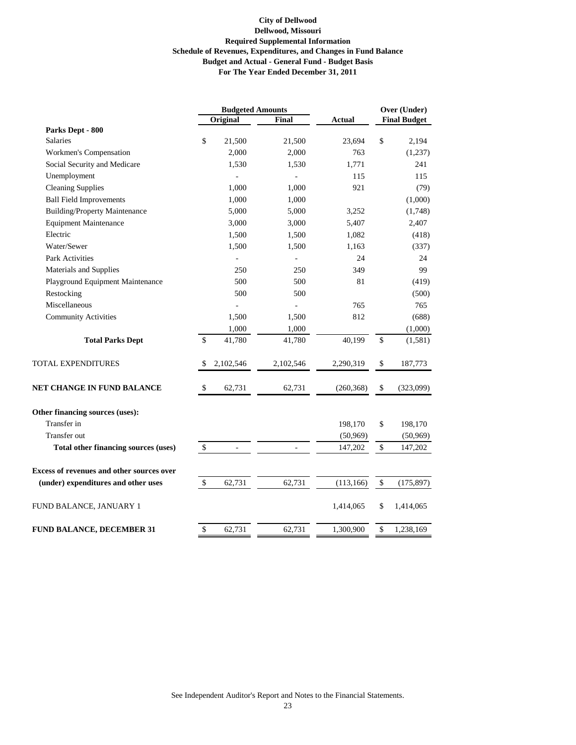|                                                  |              |                | <b>Budgeted Amounts</b> |               | Over (Under) |                     |
|--------------------------------------------------|--------------|----------------|-------------------------|---------------|--------------|---------------------|
|                                                  |              | Original       | <b>Final</b>            | <b>Actual</b> |              | <b>Final Budget</b> |
| Parks Dept - 800                                 |              |                |                         |               |              |                     |
| <b>Salaries</b>                                  | \$           | 21,500         | 21,500                  | 23,694        | \$           | 2,194               |
| Workmen's Compensation                           |              | 2,000          | 2,000                   | 763           |              | (1,237)             |
| Social Security and Medicare                     |              | 1,530          | 1,530                   | 1,771         |              | 241                 |
| Unemployment                                     |              |                |                         | 115           |              | 115                 |
| <b>Cleaning Supplies</b>                         |              | 1,000          | 1,000                   | 921           |              | (79)                |
| <b>Ball Field Improvements</b>                   |              | 1,000          | 1,000                   |               |              | (1,000)             |
| <b>Building/Property Maintenance</b>             |              | 5,000          | 5,000                   | 3,252         |              | (1,748)             |
| <b>Equipment Maintenance</b>                     |              | 3,000          | 3,000                   | 5,407         |              | 2,407               |
| Electric                                         |              | 1,500          | 1,500                   | 1,082         |              | (418)               |
| Water/Sewer                                      |              | 1,500          | 1,500                   | 1,163         |              | (337)               |
| <b>Park Activities</b>                           |              | $\overline{a}$ | $\overline{a}$          | 24            |              | 24                  |
| Materials and Supplies                           |              | 250            | 250                     | 349           |              | 99                  |
| Playground Equipment Maintenance                 |              | 500            | 500                     | 81            |              | (419)               |
| Restocking                                       |              | 500            | 500                     |               |              | (500)               |
| Miscellaneous                                    |              |                |                         | 765           |              | 765                 |
| <b>Community Activities</b>                      |              | 1,500          | 1,500                   | 812           |              | (688)               |
|                                                  |              | 1,000          | 1,000                   |               |              | (1,000)             |
| <b>Total Parks Dept</b>                          | \$           | 41,780         | 41,780                  | 40,199        | \$           | (1,581)             |
| TOTAL EXPENDITURES                               | \$           | 2,102,546      | 2,102,546               | 2,290,319     | \$           | 187,773             |
| NET CHANGE IN FUND BALANCE                       | \$           | 62,731         | 62,731                  | (260, 368)    | \$           | (323,099)           |
| Other financing sources (uses):                  |              |                |                         |               |              |                     |
| Transfer in                                      |              |                |                         | 198,170       | \$           | 198,170             |
| Transfer out                                     |              |                |                         | (50, 969)     |              | (50, 969)           |
| <b>Total other financing sources (uses)</b>      | $\mathbb{S}$ | $\blacksquare$ | $\blacksquare$          | 147,202       | \$           | 147,202             |
| <b>Excess of revenues and other sources over</b> |              |                |                         |               |              |                     |
| (under) expenditures and other uses              | $\$$         | 62,731         | 62,731                  | (113, 166)    | $\$$         | (175, 897)          |
| FUND BALANCE, JANUARY 1                          |              |                |                         | 1,414,065     | \$           | 1,414,065           |
| <b>FUND BALANCE, DECEMBER 31</b>                 | \$           | 62,731         | 62,731                  | 1,300,900     | \$           | 1,238,169           |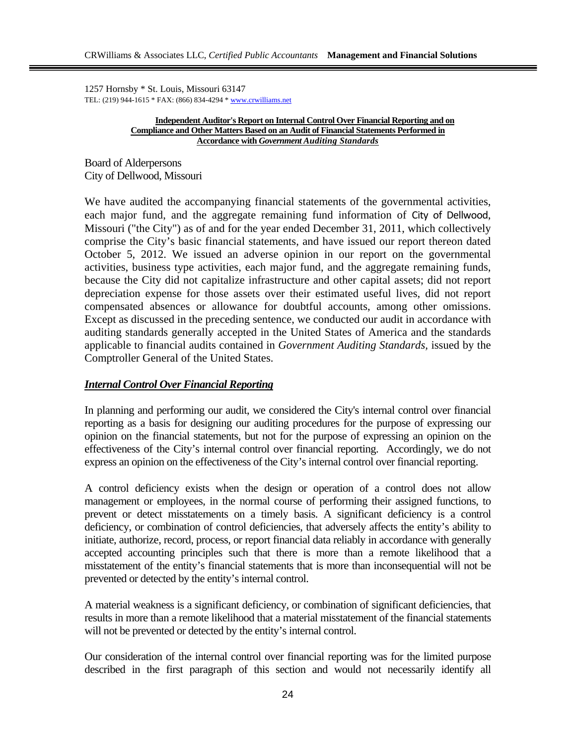1257 Hornsby \* St. Louis, Missouri 63147 TEL: (219) 944-1615 \* FAX: (866) 834-4294 \* www.crwilliams.net

#### **Independent Auditor's Report on Internal Control Over Financial Reporting and on Compliance and Other Matters Based on an Audit of Financial Statements Performed in Accordance with** *Government Auditing Standards*

Board of Alderpersons City of Dellwood, Missouri

We have audited the accompanying financial statements of the governmental activities, each major fund, and the aggregate remaining fund information of City of Dellwood, Missouri ("the City") as of and for the year ended December 31, 2011, which collectively comprise the City's basic financial statements, and have issued our report thereon dated October 5, 2012. We issued an adverse opinion in our report on the governmental activities, business type activities, each major fund, and the aggregate remaining funds, because the City did not capitalize infrastructure and other capital assets; did not report depreciation expense for those assets over their estimated useful lives, did not report compensated absences or allowance for doubtful accounts, among other omissions. Except as discussed in the preceding sentence, we conducted our audit in accordance with auditing standards generally accepted in the United States of America and the standards applicable to financial audits contained in *Government Auditing Standards,* issued by the Comptroller General of the United States.

# *Internal Control Over Financial Reporting*

In planning and performing our audit, we considered the City's internal control over financial reporting as a basis for designing our auditing procedures for the purpose of expressing our opinion on the financial statements, but not for the purpose of expressing an opinion on the effectiveness of the City's internal control over financial reporting. Accordingly, we do not express an opinion on the effectiveness of the City's internal control over financial reporting.

A control deficiency exists when the design or operation of a control does not allow management or employees, in the normal course of performing their assigned functions, to prevent or detect misstatements on a timely basis. A significant deficiency is a control deficiency, or combination of control deficiencies, that adversely affects the entity's ability to initiate, authorize, record, process, or report financial data reliably in accordance with generally accepted accounting principles such that there is more than a remote likelihood that a misstatement of the entity's financial statements that is more than inconsequential will not be prevented or detected by the entity's internal control.

A material weakness is a significant deficiency, or combination of significant deficiencies, that results in more than a remote likelihood that a material misstatement of the financial statements will not be prevented or detected by the entity's internal control.

Our consideration of the internal control over financial reporting was for the limited purpose described in the first paragraph of this section and would not necessarily identify all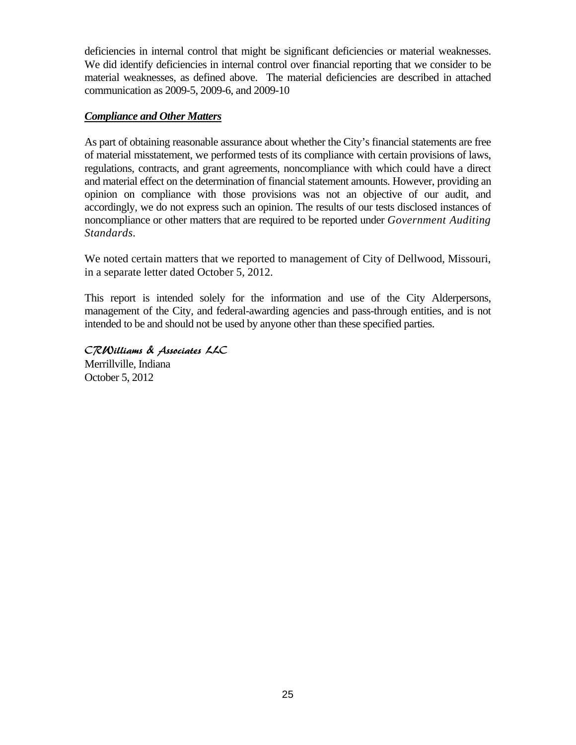deficiencies in internal control that might be significant deficiencies or material weaknesses. We did identify deficiencies in internal control over financial reporting that we consider to be material weaknesses, as defined above. The material deficiencies are described in attached communication as 2009-5, 2009-6, and 2009-10

# *Compliance and Other Matters*

As part of obtaining reasonable assurance about whether the City's financial statements are free of material misstatement, we performed tests of its compliance with certain provisions of laws, regulations, contracts, and grant agreements, noncompliance with which could have a direct and material effect on the determination of financial statement amounts. However, providing an opinion on compliance with those provisions was not an objective of our audit, and accordingly, we do not express such an opinion. The results of our tests disclosed instances of noncompliance or other matters that are required to be reported under *Government Auditing Standards.*

We noted certain matters that we reported to management of City of Dellwood, Missouri, in a separate letter dated October 5, 2012.

This report is intended solely for the information and use of the City Alderpersons, management of the City, and federal-awarding agencies and pass-through entities, and is not intended to be and should not be used by anyone other than these specified parties.

CRWilliams & Associates LLC Merrillville, Indiana October 5, 2012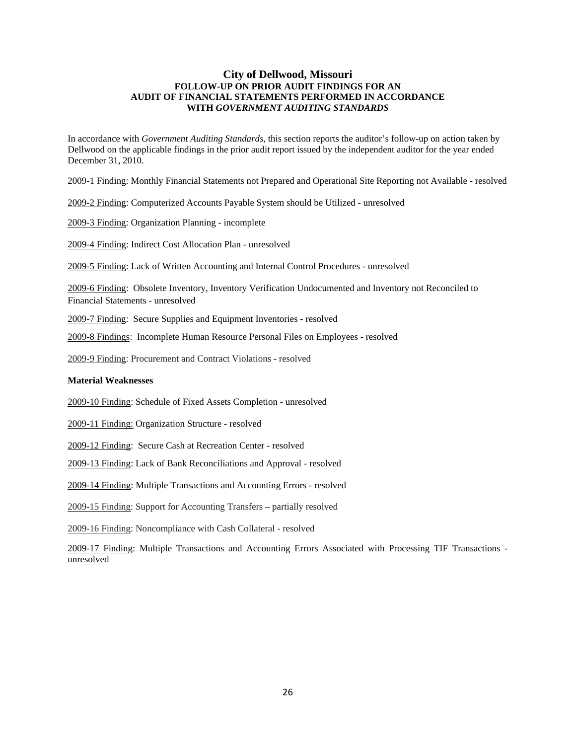#### **City of Dellwood, Missouri FOLLOW-UP ON PRIOR AUDIT FINDINGS FOR AN AUDIT OF FINANCIAL STATEMENTS PERFORMED IN ACCORDANCE WITH** *GOVERNMENT AUDITING STANDARDS*

In accordance with *Government Auditing Standards*, this section reports the auditor's follow-up on action taken by Dellwood on the applicable findings in the prior audit report issued by the independent auditor for the year ended December 31, 2010.

2009-1 Finding: Monthly Financial Statements not Prepared and Operational Site Reporting not Available - resolved

2009-2 Finding: Computerized Accounts Payable System should be Utilized - unresolved

2009-3 Finding: Organization Planning - incomplete

2009-4 Finding: Indirect Cost Allocation Plan - unresolved

2009-5 Finding: Lack of Written Accounting and Internal Control Procedures - unresolved

2009-6 Finding: Obsolete Inventory, Inventory Verification Undocumented and Inventory not Reconciled to Financial Statements - unresolved

2009-7 Finding: Secure Supplies and Equipment Inventories - resolved

2009-8 Findings: Incomplete Human Resource Personal Files on Employees - resolved

2009-9 Finding: Procurement and Contract Violations - resolved

#### **Material Weaknesses**

2009-10 Finding: Schedule of Fixed Assets Completion - unresolved

2009-11 Finding: Organization Structure - resolved

2009-12 Finding: Secure Cash at Recreation Center - resolved

2009-13 Finding: Lack of Bank Reconciliations and Approval - resolved

2009-14 Finding: Multiple Transactions and Accounting Errors - resolved

2009-15 Finding: Support for Accounting Transfers – partially resolved

2009-16 Finding: Noncompliance with Cash Collateral - resolved

2009-17 Finding: Multiple Transactions and Accounting Errors Associated with Processing TIF Transactions unresolved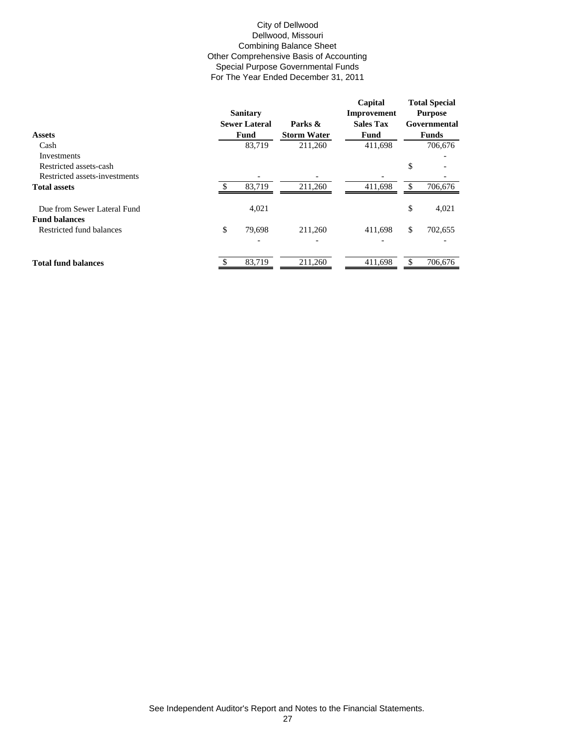#### City of Dellwood Dellwood, Missouri Combining Balance Sheet Other Comprehensive Basis of Accounting Special Purpose Governmental Funds For The Year Ended December 31, 2011

|                               | <b>Sanitary</b><br><b>Sewer Lateral</b> | Parks &            | Capital<br>Improvement<br><b>Sales Tax</b> |     | <b>Total Special</b><br><b>Purpose</b><br>Governmental |
|-------------------------------|-----------------------------------------|--------------------|--------------------------------------------|-----|--------------------------------------------------------|
| <b>Assets</b>                 | Fund                                    | <b>Storm Water</b> | Fund                                       |     | <b>Funds</b>                                           |
| Cash                          | 83,719                                  | 211,260            | 411,698                                    |     | 706,676                                                |
| Investments                   |                                         |                    |                                            |     |                                                        |
| Restricted assets-cash        |                                         |                    |                                            | \$  |                                                        |
| Restricted assets-investments |                                         |                    |                                            |     |                                                        |
| <b>Total assets</b>           | 83,719                                  | 211,260            | 411,698                                    | \$. | 706,676                                                |
| Due from Sewer Lateral Fund   | 4,021                                   |                    |                                            | \$  | 4,021                                                  |
| <b>Fund balances</b>          |                                         |                    |                                            |     |                                                        |
| Restricted fund balances      | \$<br>79,698                            | 211,260            | 411,698                                    | \$  | 702,655                                                |
|                               |                                         |                    |                                            |     |                                                        |
| <b>Total fund balances</b>    | 83,719                                  | 211,260            | 411,698                                    |     | 706,676                                                |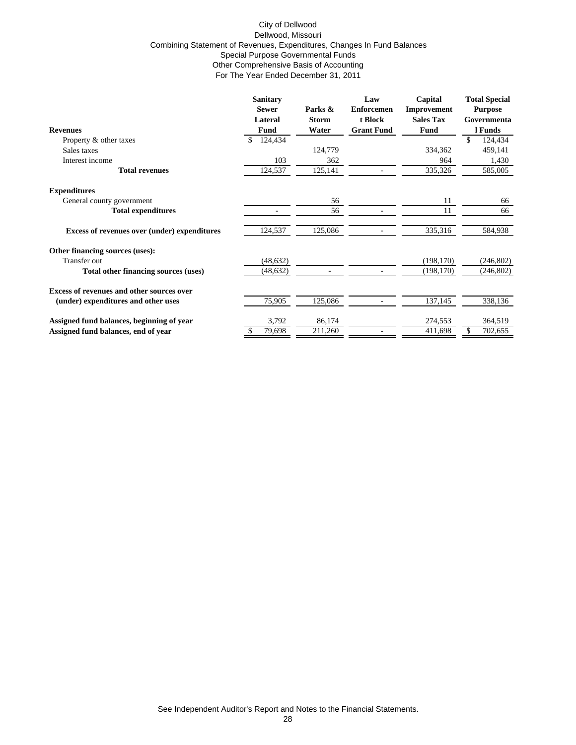#### City of Dellwood Dellwood, Missouri Combining Statement of Revenues, Expenditures, Changes In Fund Balances Special Purpose Governmental Funds Other Comprehensive Basis of Accounting For The Year Ended December 31, 2011

|                                                     | <b>Sanitary</b> |              | Law               | Capital          | <b>Total Special</b> |
|-----------------------------------------------------|-----------------|--------------|-------------------|------------------|----------------------|
|                                                     | <b>Sewer</b>    | Parks &      | <b>Enforcemen</b> | Improvement      | <b>Purpose</b>       |
|                                                     | Lateral         | <b>Storm</b> | t Block           | <b>Sales Tax</b> | Governmenta          |
| <b>Revenues</b>                                     | Fund            | Water        | <b>Grant Fund</b> | <b>Fund</b>      | l Funds              |
| Property & other taxes                              | 124,434<br>\$   |              |                   |                  | \$<br>124,434        |
| Sales taxes                                         |                 | 124,779      |                   | 334,362          | 459,141              |
| Interest income                                     | 103             | 362          |                   | 964              | 1,430                |
| <b>Total revenues</b>                               | 124,537         | 125,141      |                   | 335,326          | 585,005              |
| <b>Expenditures</b>                                 |                 |              |                   |                  |                      |
| General county government                           |                 | 56           |                   | 11               | 66                   |
| <b>Total expenditures</b>                           |                 | 56           |                   | 11               | 66                   |
| <b>Excess of revenues over (under) expenditures</b> | 124,537         | 125,086      |                   | 335,316          | 584,938              |
| Other financing sources (uses):                     |                 |              |                   |                  |                      |
| Transfer out                                        | (48, 632)       |              |                   | (198, 170)       | (246, 802)           |
| Total other financing sources (uses)                | (48, 632)       |              |                   | (198, 170)       | (246, 802)           |
| <b>Excess of revenues and other sources over</b>    |                 |              |                   |                  |                      |
| (under) expenditures and other uses                 | 75,905          | 125,086      |                   | 137,145          | 338,136              |
| Assigned fund balances, beginning of year           | 3,792           | 86,174       |                   | 274,553          | 364,519              |
| Assigned fund balances, end of year                 | 79,698          | 211,260      |                   | 411,698          | \$<br>702,655        |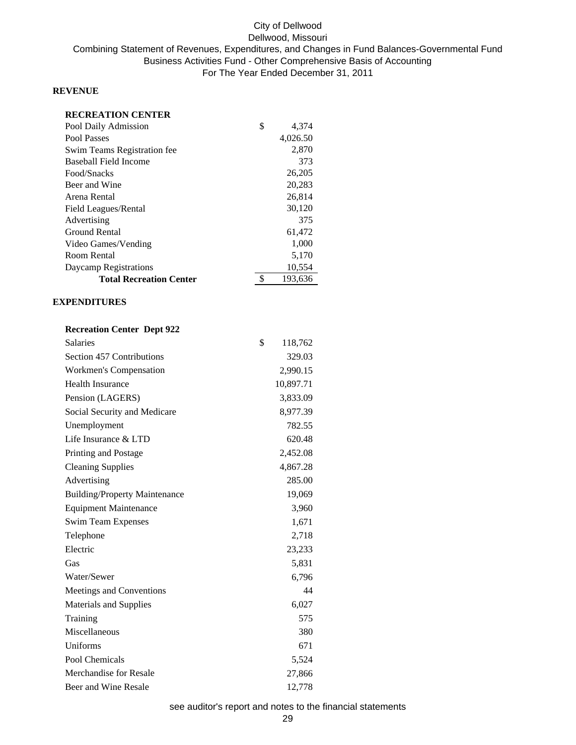# City of Dellwood Dellwood, Missouri Combining Statement of Revenues, Expenditures, and Changes in Fund Balances-Governmental Fund Business Activities Fund - Other Comprehensive Basis of Accounting For The Year Ended December 31, 2011

## **REVENUE**

| <b>RECREATION CENTER</b>       |               |
|--------------------------------|---------------|
| Pool Daily Admission           | \$<br>4,374   |
| Pool Passes                    | 4,026.50      |
| Swim Teams Registration fee    | 2,870         |
| Baseball Field Income          | 373           |
| Food/Snacks                    | 26,205        |
| Beer and Wine                  | 20,283        |
| Arena Rental                   | 26,814        |
| Field Leagues/Rental           | 30,120        |
| Advertising                    | 375           |
| Ground Rental                  | 61,472        |
| Video Games/Vending            | 1,000         |
| Room Rental                    | 5,170         |
| Daycamp Registrations          | 10,554        |
| <b>Total Recreation Center</b> | \$<br>193,636 |

## **EXPENDITURES**

## **Recreation Center Dept 922**

| <b>Salaries</b>                      | \$<br>118,762 |
|--------------------------------------|---------------|
| Section 457 Contributions            | 329.03        |
| Workmen's Compensation               | 2,990.15      |
| <b>Health Insurance</b>              | 10,897.71     |
| Pension (LAGERS)                     | 3,833.09      |
| Social Security and Medicare         | 8,977.39      |
| Unemployment                         | 782.55        |
| Life Insurance & LTD                 | 620.48        |
| Printing and Postage                 | 2,452.08      |
| <b>Cleaning Supplies</b>             | 4,867.28      |
| Advertising                          | 285.00        |
| <b>Building/Property Maintenance</b> | 19,069        |
| <b>Equipment Maintenance</b>         | 3,960         |
| <b>Swim Team Expenses</b>            | 1,671         |
| Telephone                            | 2,718         |
| Electric                             | 23,233        |
| Gas                                  | 5,831         |
| Water/Sewer                          | 6,796         |
| Meetings and Conventions             | 44            |
| Materials and Supplies               | 6,027         |
| Training                             | 575           |
| Miscellaneous                        | 380           |
| Uniforms                             | 671           |
| Pool Chemicals                       | 5,524         |
| <b>Merchandise for Resale</b>        | 27,866        |
| Beer and Wine Resale                 | 12,778        |

## see auditor's report and notes to the financial statements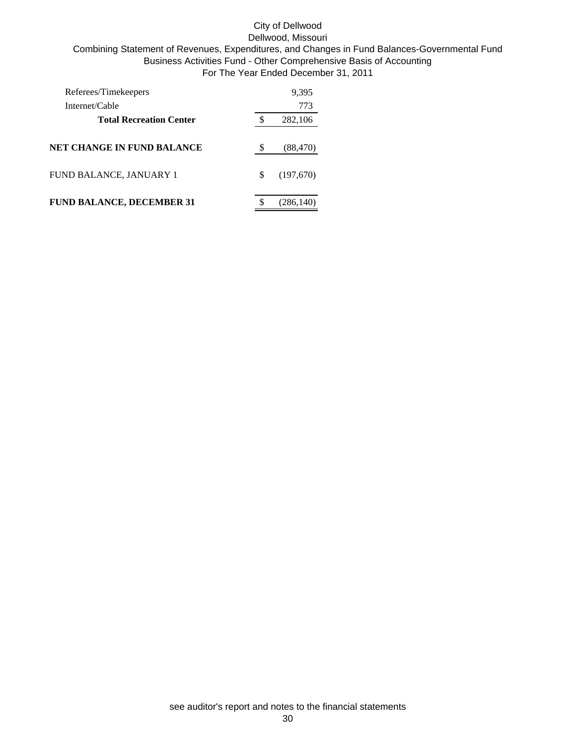## City of Dellwood Dellwood, Missouri Combining Statement of Revenues, Expenditures, and Changes in Fund Balances-Governmental Fund Business Activities Fund - Other Comprehensive Basis of Accounting For The Year Ended December 31, 2011

| Referees/Timekeepers             |   | 9,395      |
|----------------------------------|---|------------|
| Internet/Cable                   |   | 773        |
| <b>Total Recreation Center</b>   |   | 282,106    |
| NET CHANGE IN FUND BALANCE       |   | (88, 470)  |
| FUND BALANCE, JANUARY 1          | S | (197,670)  |
| <b>FUND BALANCE, DECEMBER 31</b> |   | (286, 140) |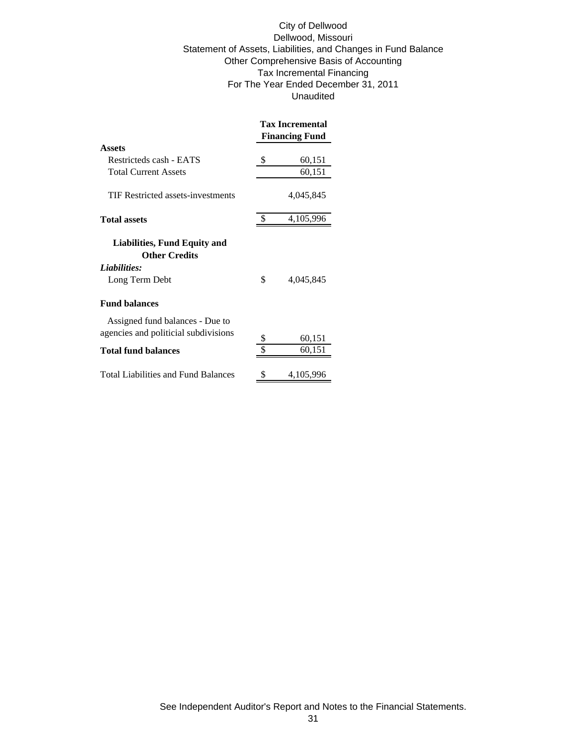City of Dellwood Dellwood, Missouri Statement of Assets, Liabilities, and Changes in Fund Balance Other Comprehensive Basis of Accounting Tax Incremental Financing For The Year Ended December 31, 2011 Unaudited

|                                                      | <b>Tax Incremental</b> |           |  |
|------------------------------------------------------|------------------------|-----------|--|
|                                                      | <b>Financing Fund</b>  |           |  |
| <b>Assets</b>                                        |                        |           |  |
| Restricteds cash - EATS                              | \$                     | 60,151    |  |
| <b>Total Current Assets</b>                          |                        | 60,151    |  |
| TIF Restricted assets-investments                    |                        | 4,045,845 |  |
| <b>Total assets</b>                                  | \$                     | 4,105,996 |  |
| Liabilities, Fund Equity and<br><b>Other Credits</b> |                        |           |  |
| Liabilities:                                         |                        |           |  |
| Long Term Debt                                       | \$                     | 4,045,845 |  |
| <b>Fund balances</b>                                 |                        |           |  |
| Assigned fund balances - Due to                      |                        |           |  |
| agencies and politicial subdivisions                 |                        |           |  |
|                                                      | \$                     | 60,151    |  |
| <b>Total fund balances</b>                           | \$                     | 60,151    |  |
| <b>Total Liabilities and Fund Balances</b>           |                        | 4,105,996 |  |

See Independent Auditor's Report and Notes to the Financial Statements.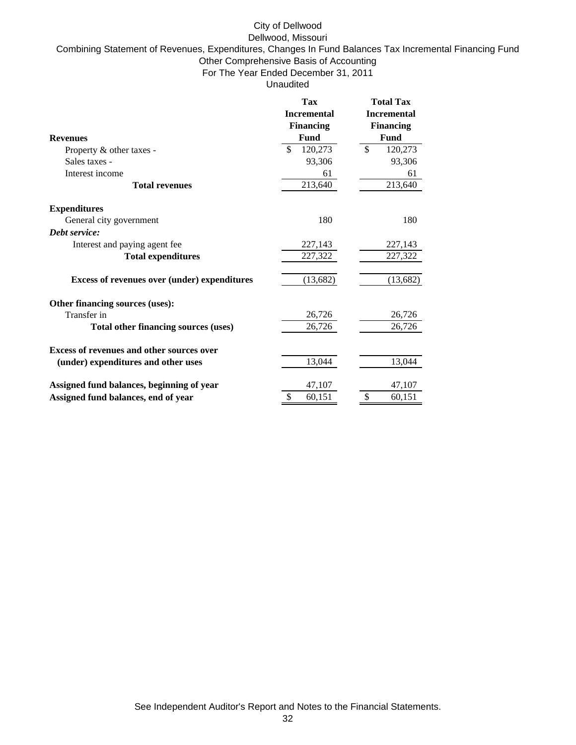## City of Dellwood

Dellwood, Missouri

Combining Statement of Revenues, Expenditures, Changes In Fund Balances Tax Incremental Financing Fund Other Comprehensive Basis of Accounting

For The Year Ended December 31, 2011

Unaudited

|                                                  | Tax                     | <b>Total Tax</b>   |
|--------------------------------------------------|-------------------------|--------------------|
|                                                  | <b>Incremental</b>      | <b>Incremental</b> |
|                                                  | <b>Financing</b>        | <b>Financing</b>   |
| <b>Revenues</b>                                  | Fund                    | Fund               |
| Property & other taxes -                         | \$<br>120,273           | \$<br>120,273      |
| Sales taxes -                                    | 93,306                  | 93,306             |
| Interest income                                  | 61                      | 61                 |
| <b>Total revenues</b>                            | 213,640                 | 213,640            |
| <b>Expenditures</b>                              |                         |                    |
| General city government                          | 180                     | 180                |
| Debt service:                                    |                         |                    |
| Interest and paying agent fee                    | 227,143                 | 227,143            |
| <b>Total expenditures</b>                        | 227,322                 | 227,322            |
| Excess of revenues over (under) expenditures     | (13,682)                | (13, 682)          |
| Other financing sources (uses):                  |                         |                    |
| Transfer in                                      | 26,726                  | 26,726             |
| Total other financing sources (uses)             | 26,726                  | 26,726             |
| <b>Excess of revenues and other sources over</b> |                         |                    |
| (under) expenditures and other uses              | 13,044                  | 13,044             |
| Assigned fund balances, beginning of year        | 47,107                  | 47,107             |
| Assigned fund balances, end of year              | $\mathcal{S}$<br>60,151 | \$<br>60,151       |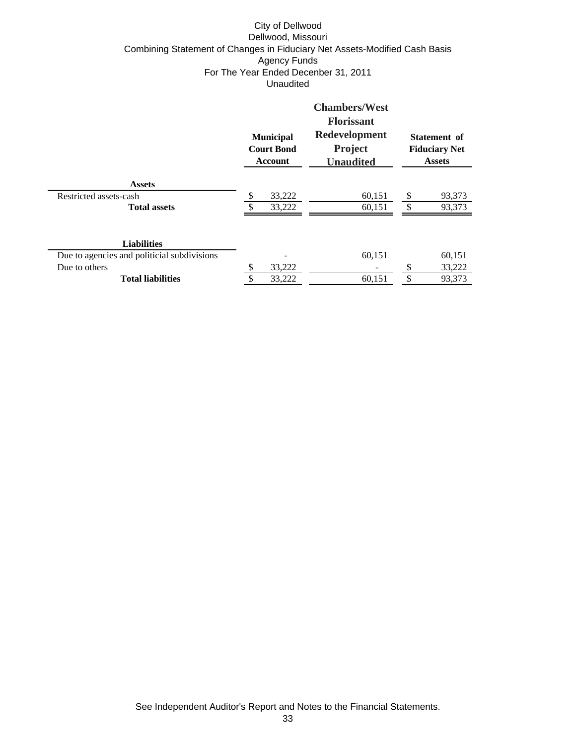## City of Dellwood Dellwood, Missouri Combining Statement of Changes in Fiduciary Net Assets-Modified Cash Basis Agency Funds For The Year Ended Decenber 31, 2011 Unaudited

|                                             |    | <b>Municipal</b><br><b>Court Bond</b><br>Account | <b>Chambers/West</b><br><b>Florissant</b><br>Redevelopment<br><b>Project</b><br><b>Unaudited</b> | Statement of<br><b>Fiduciary Net</b><br><b>Assets</b> |        |  |
|---------------------------------------------|----|--------------------------------------------------|--------------------------------------------------------------------------------------------------|-------------------------------------------------------|--------|--|
| <b>Assets</b>                               |    |                                                  |                                                                                                  |                                                       |        |  |
| Restricted assets-cash                      | \$ | 33,222                                           | 60,151                                                                                           | \$                                                    | 93,373 |  |
| <b>Total assets</b>                         |    | 33,222                                           | 60,151                                                                                           | \$                                                    | 93,373 |  |
| <b>Liabilities</b>                          |    |                                                  |                                                                                                  |                                                       |        |  |
| Due to agencies and politicial subdivisions |    |                                                  | 60,151                                                                                           |                                                       | 60,151 |  |
| Due to others                               |    | 33,222                                           |                                                                                                  | \$                                                    | 33,222 |  |
| <b>Total liabilities</b>                    |    | 33,222                                           | 60,151                                                                                           | \$                                                    | 93,373 |  |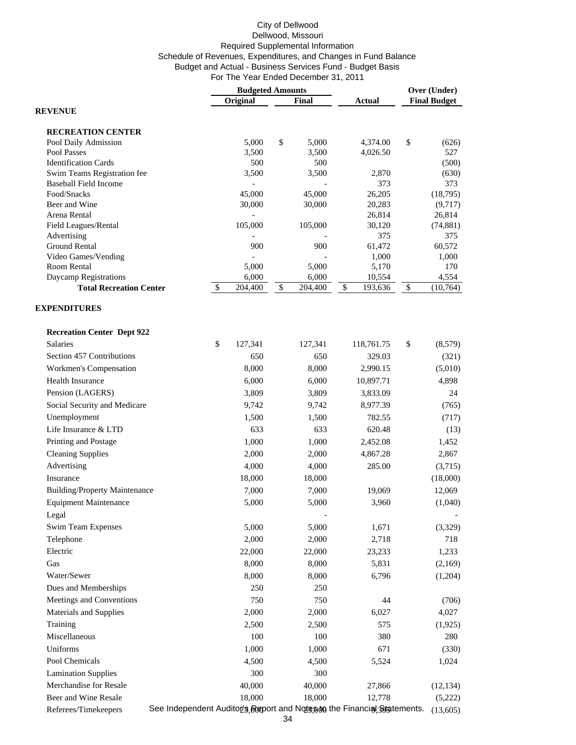| Original<br>Final<br>Actual<br><b>REVENUE</b>                                                                     | <b>Final Budget</b> |
|-------------------------------------------------------------------------------------------------------------------|---------------------|
|                                                                                                                   |                     |
|                                                                                                                   |                     |
| <b>RECREATION CENTER</b>                                                                                          |                     |
| \$<br>\$<br>Pool Daily Admission<br>5,000<br>5,000<br>4,374.00                                                    | (626)               |
| Pool Passes<br>3,500<br>3,500<br>4,026.50                                                                         | 527                 |
| <b>Identification Cards</b><br>500<br>500                                                                         | (500)               |
| Swim Teams Registration fee<br>3,500<br>3,500<br>2,870                                                            | (630)               |
| 373<br><b>Baseball Field Income</b><br>Food/Snacks<br>45,000<br>45,000<br>26,205                                  | 373<br>(18, 795)    |
| Beer and Wine<br>30,000<br>30,000<br>20,283                                                                       | (9,717)             |
| Arena Rental<br>26,814                                                                                            | 26,814              |
| Field Leagues/Rental<br>105,000<br>105,000<br>30,120                                                              | (74, 881)           |
| 375<br>Advertising                                                                                                | 375                 |
| <b>Ground Rental</b><br>61,472<br>900<br>900                                                                      | 60,572              |
| Video Games/Vending<br>1,000<br>Room Rental<br>5,000<br>5,000<br>5,170                                            | 1,000<br>170        |
| Daycamp Registrations<br>6,000<br>6,000<br>10,554                                                                 | 4,554               |
| \$<br>$\overline{204,400}$<br>\$<br>$\overline{204,400}$<br>\$<br>\$<br>193,636<br><b>Total Recreation Center</b> | (10, 764)           |
| <b>EXPENDITURES</b>                                                                                               |                     |
| <b>Recreation Center Dept 922</b>                                                                                 |                     |
| <b>Salaries</b><br>\$<br>\$<br>127,341<br>127,341<br>118,761.75                                                   | (8,579)             |
| Section 457 Contributions<br>650<br>650<br>329.03                                                                 | (321)               |
| Workmen's Compensation<br>8,000<br>8,000<br>2,990.15                                                              | (5,010)             |
| Health Insurance<br>6,000<br>6,000<br>10,897.71                                                                   | 4,898               |
| Pension (LAGERS)<br>3,809<br>3,809<br>3,833.09                                                                    | 24                  |
| Social Security and Medicare<br>9,742<br>9,742<br>8,977.39                                                        | (765)               |
| Unemployment<br>1,500<br>1,500<br>782.55                                                                          | (717)               |
| Life Insurance & LTD<br>633<br>633<br>620.48                                                                      | (13)                |
| Printing and Postage<br>1,000<br>1,000<br>2,452.08                                                                | 1,452               |
| <b>Cleaning Supplies</b><br>2,000<br>2,000<br>4,867.28                                                            | 2,867               |
| Advertising<br>4,000<br>4,000<br>285.00                                                                           | (3,715)             |
| Insurance<br>18,000<br>18,000                                                                                     | (18,000)            |
| <b>Building/Property Maintenance</b><br>7,000<br>7,000<br>19,069                                                  | 12,069              |
| <b>Equipment Maintenance</b><br>5,000<br>5,000<br>3,960                                                           | (1,040)             |
| Legal                                                                                                             |                     |
| 5,000<br>5,000<br>1,671<br>Swim Team Expenses                                                                     | (3,329)             |
| Telephone<br>2,718<br>2,000<br>2,000                                                                              | 718                 |
| Electric<br>22,000<br>22,000<br>23,233                                                                            | 1,233               |
| Gas<br>8,000<br>8,000<br>5,831                                                                                    | (2,169)             |
| Water/Sewer<br>8,000<br>8,000<br>6,796                                                                            | (1,204)             |
| Dues and Memberships<br>250<br>250                                                                                |                     |
| Meetings and Conventions<br>750<br>750<br>44                                                                      | (706)               |
| Materials and Supplies<br>2,000<br>2,000<br>6,027                                                                 | 4,027               |
| Training<br>2,500<br>2,500<br>575                                                                                 | (1,925)             |
| Miscellaneous<br>100<br>100<br>380                                                                                | 280                 |
| Uniforms<br>1,000<br>1,000<br>671                                                                                 | (330)               |
| Pool Chemicals<br>4,500<br>4,500<br>5,524                                                                         | 1,024               |
| <b>Lamination Supplies</b><br>300<br>300                                                                          |                     |
| Merchandise for Resale<br>40,000<br>40,000<br>27,866                                                              | (12, 134)           |
| 18,000<br>Beer and Wine Resale<br>18,000<br>12,778                                                                | (5,222)             |
| See Independent Auditors, Report and Note, sign the Financial Statements.<br>Referees/Timekeepers                 | (13,605)            |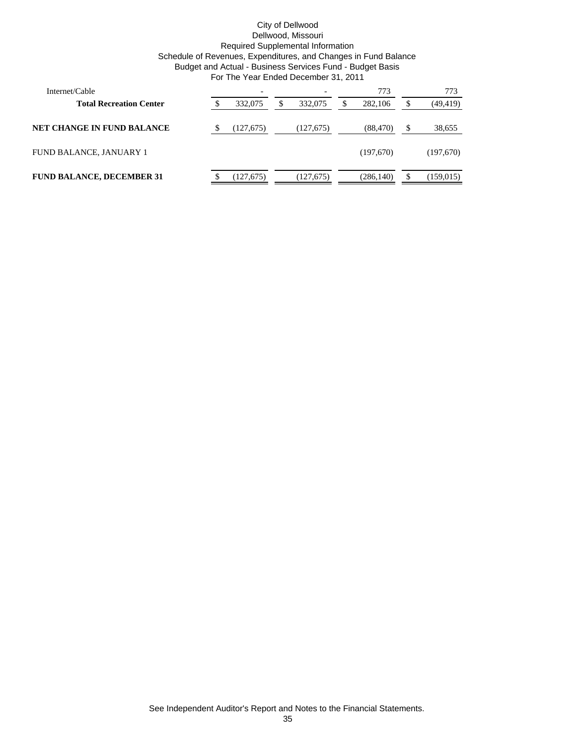| Internet/Cable                    |           |            |   | 773        |   | 773        |
|-----------------------------------|-----------|------------|---|------------|---|------------|
| <b>Total Recreation Center</b>    | 332,075   | 332,075    | S | 282,106    |   | (49, 419)  |
| <b>NET CHANGE IN FUND BALANCE</b> | (127,675) | (127, 675) |   | (88, 470)  | S | 38,655     |
| FUND BALANCE, JANUARY 1           |           |            |   | (197,670)  |   | (197,670)  |
| <b>FUND BALANCE, DECEMBER 31</b>  | (127,675) | (127,675)  |   | (286, 140) |   | (159, 015) |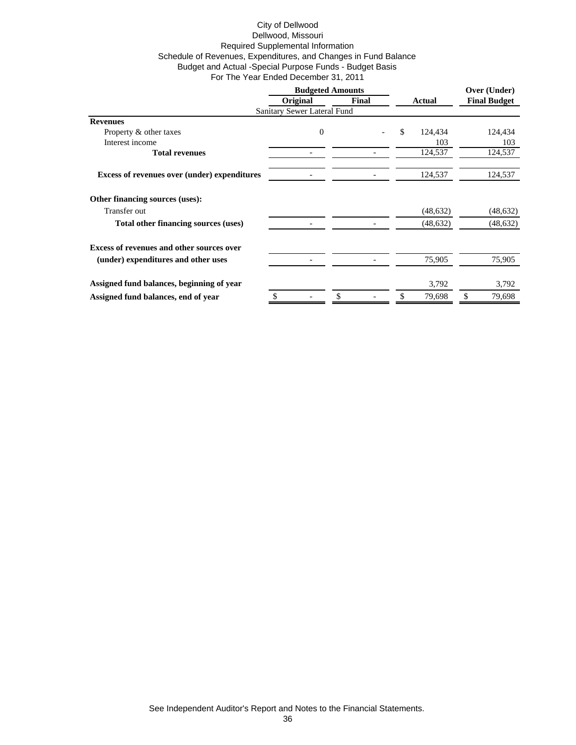|                                                     | <b>Budgeted Amounts</b>     |       |               | Over (Under)        |  |
|-----------------------------------------------------|-----------------------------|-------|---------------|---------------------|--|
|                                                     | Original                    | Final | Actual        | <b>Final Budget</b> |  |
|                                                     | Sanitary Sewer Lateral Fund |       |               |                     |  |
| <b>Revenues</b>                                     |                             |       |               |                     |  |
| Property & other taxes                              | $\boldsymbol{0}$            |       | \$<br>124,434 | 124,434             |  |
| Interest income                                     |                             |       | 103           | 103                 |  |
| <b>Total revenues</b>                               |                             |       | 124,537       | 124,537             |  |
| <b>Excess of revenues over (under) expenditures</b> |                             |       | 124,537       | 124,537             |  |
| Other financing sources (uses):                     |                             |       |               |                     |  |
| Transfer out                                        |                             |       | (48, 632)     | (48, 632)           |  |
| Total other financing sources (uses)                |                             |       | (48, 632)     | (48, 632)           |  |
| <b>Excess of revenues and other sources over</b>    |                             |       |               |                     |  |
| (under) expenditures and other uses                 |                             |       | 75,905        | 75,905              |  |
| Assigned fund balances, beginning of year           |                             |       | 3,792         | 3,792               |  |
| Assigned fund balances, end of year                 | \$                          | \$    | \$<br>79,698  | \$<br>79,698        |  |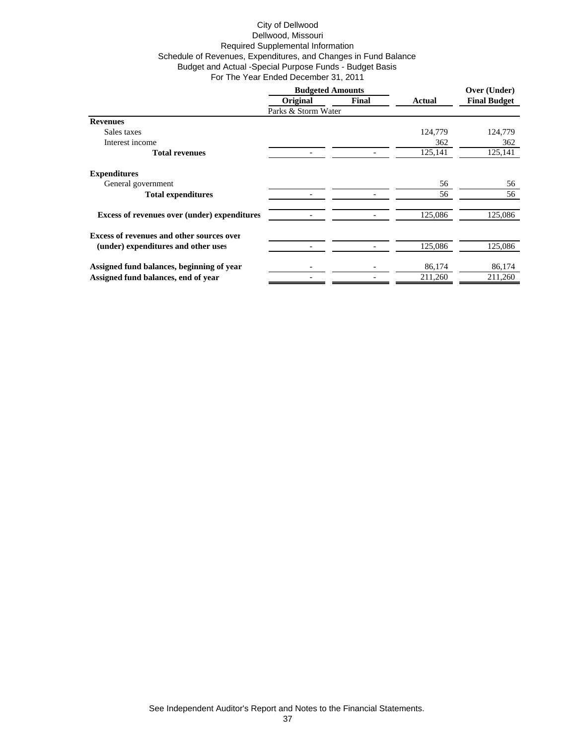|                                                     | <b>Budgeted Amounts</b> |       |         | Over (Under)<br><b>Final Budget</b> |  |
|-----------------------------------------------------|-------------------------|-------|---------|-------------------------------------|--|
|                                                     | Original                | Final | Actual  |                                     |  |
|                                                     | Parks & Storm Water     |       |         |                                     |  |
| <b>Revenues</b>                                     |                         |       |         |                                     |  |
| Sales taxes                                         |                         |       | 124,779 | 124,779                             |  |
| Interest income                                     |                         |       | 362     | 362                                 |  |
| <b>Total revenues</b>                               |                         |       | 125,141 | 125,141                             |  |
| <b>Expenditures</b>                                 |                         |       |         |                                     |  |
| General government                                  |                         |       | 56      | 56                                  |  |
| <b>Total expenditures</b>                           |                         |       | 56      | 56                                  |  |
| <b>Excess of revenues over (under) expenditures</b> |                         |       | 125,086 | 125,086                             |  |
| <b>Excess of revenues and other sources over</b>    |                         |       |         |                                     |  |
| (under) expenditures and other uses                 |                         |       | 125,086 | 125,086                             |  |
| Assigned fund balances, beginning of year           |                         |       | 86,174  | 86,174                              |  |
| Assigned fund balances, end of year                 |                         |       | 211,260 | 211,260                             |  |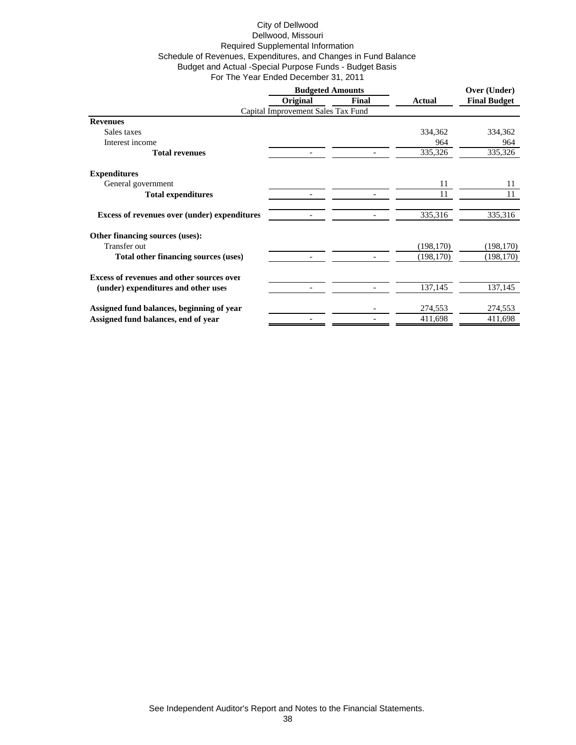| Original<br><b>Final</b><br><b>Final Budget</b><br>Actual<br>Capital Improvement Sales Tax Fund<br><b>Revenues</b><br>Sales taxes<br>334,362<br>334,362<br>Interest income<br>964<br>964<br>335,326<br>335,326<br><b>Total revenues</b><br><b>Expenditures</b><br>General government<br>11<br>11<br>11<br>11<br><b>Total expenditures</b><br>335,316<br>335,316<br><b>Excess of revenues over (under) expenditures</b><br>Other financing sources (uses):<br>Transfer out<br>(198, 170)<br>(198, 170)<br>(198, 170)<br>(198, 170)<br>Total other financing sources (uses)<br><b>Excess of revenues and other sources over</b><br>137,145<br>137,145<br>(under) expenditures and other uses<br>Assigned fund balances, beginning of year<br>274,553<br>274,553 |                                     | <b>Budgeted Amounts</b> |  |         | Over (Under) |  |
|---------------------------------------------------------------------------------------------------------------------------------------------------------------------------------------------------------------------------------------------------------------------------------------------------------------------------------------------------------------------------------------------------------------------------------------------------------------------------------------------------------------------------------------------------------------------------------------------------------------------------------------------------------------------------------------------------------------------------------------------------------------|-------------------------------------|-------------------------|--|---------|--------------|--|
|                                                                                                                                                                                                                                                                                                                                                                                                                                                                                                                                                                                                                                                                                                                                                               |                                     |                         |  |         |              |  |
|                                                                                                                                                                                                                                                                                                                                                                                                                                                                                                                                                                                                                                                                                                                                                               |                                     |                         |  |         |              |  |
|                                                                                                                                                                                                                                                                                                                                                                                                                                                                                                                                                                                                                                                                                                                                                               |                                     |                         |  |         |              |  |
|                                                                                                                                                                                                                                                                                                                                                                                                                                                                                                                                                                                                                                                                                                                                                               |                                     |                         |  |         |              |  |
|                                                                                                                                                                                                                                                                                                                                                                                                                                                                                                                                                                                                                                                                                                                                                               |                                     |                         |  |         |              |  |
|                                                                                                                                                                                                                                                                                                                                                                                                                                                                                                                                                                                                                                                                                                                                                               |                                     |                         |  |         |              |  |
|                                                                                                                                                                                                                                                                                                                                                                                                                                                                                                                                                                                                                                                                                                                                                               |                                     |                         |  |         |              |  |
|                                                                                                                                                                                                                                                                                                                                                                                                                                                                                                                                                                                                                                                                                                                                                               |                                     |                         |  |         |              |  |
|                                                                                                                                                                                                                                                                                                                                                                                                                                                                                                                                                                                                                                                                                                                                                               |                                     |                         |  |         |              |  |
|                                                                                                                                                                                                                                                                                                                                                                                                                                                                                                                                                                                                                                                                                                                                                               |                                     |                         |  |         |              |  |
|                                                                                                                                                                                                                                                                                                                                                                                                                                                                                                                                                                                                                                                                                                                                                               |                                     |                         |  |         |              |  |
|                                                                                                                                                                                                                                                                                                                                                                                                                                                                                                                                                                                                                                                                                                                                                               |                                     |                         |  |         |              |  |
|                                                                                                                                                                                                                                                                                                                                                                                                                                                                                                                                                                                                                                                                                                                                                               |                                     |                         |  |         |              |  |
|                                                                                                                                                                                                                                                                                                                                                                                                                                                                                                                                                                                                                                                                                                                                                               |                                     |                         |  |         |              |  |
|                                                                                                                                                                                                                                                                                                                                                                                                                                                                                                                                                                                                                                                                                                                                                               |                                     |                         |  |         |              |  |
|                                                                                                                                                                                                                                                                                                                                                                                                                                                                                                                                                                                                                                                                                                                                                               |                                     |                         |  |         |              |  |
|                                                                                                                                                                                                                                                                                                                                                                                                                                                                                                                                                                                                                                                                                                                                                               | Assigned fund balances, end of year |                         |  | 411,698 | 411,698      |  |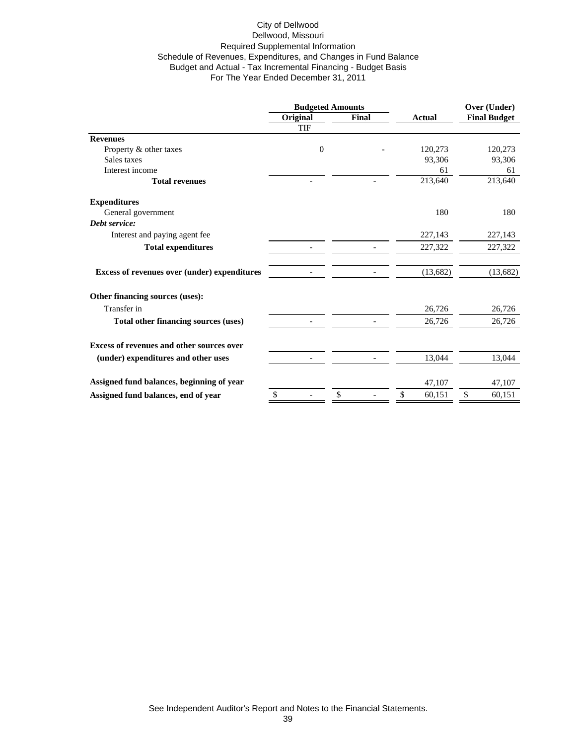|                                                  | <b>Budgeted Amounts</b> |                |    |       | Over (Under)  |    |                     |
|--------------------------------------------------|-------------------------|----------------|----|-------|---------------|----|---------------------|
|                                                  | Original                |                |    | Final | <b>Actual</b> |    | <b>Final Budget</b> |
|                                                  | <b>TIF</b>              |                |    |       |               |    |                     |
| <b>Revenues</b>                                  |                         |                |    |       |               |    |                     |
| Property & other taxes                           |                         | $\overline{0}$ |    |       | 120,273       |    | 120,273             |
| Sales taxes                                      |                         |                |    |       | 93,306        |    | 93,306              |
| Interest income                                  |                         |                |    |       | 61            |    | 61                  |
| <b>Total revenues</b>                            |                         |                |    |       | 213,640       |    | 213,640             |
| <b>Expenditures</b>                              |                         |                |    |       |               |    |                     |
| General government                               |                         |                |    |       | 180           |    | 180                 |
| Debt service:                                    |                         |                |    |       |               |    |                     |
| Interest and paying agent fee                    |                         |                |    |       | 227,143       |    | 227,143             |
| <b>Total expenditures</b>                        |                         |                |    |       | 227,322       |    | 227,322             |
| Excess of revenues over (under) expenditures     |                         |                |    |       | (13,682)      |    | (13,682)            |
| Other financing sources (uses):                  |                         |                |    |       |               |    |                     |
| Transfer in                                      |                         |                |    |       | 26,726        |    | 26,726              |
| Total other financing sources (uses)             |                         |                |    |       | 26,726        |    | 26,726              |
| <b>Excess of revenues and other sources over</b> |                         |                |    |       |               |    |                     |
| (under) expenditures and other uses              |                         |                |    |       | 13,044        |    | 13,044              |
| Assigned fund balances, beginning of year        |                         |                |    |       | 47,107        |    | 47,107              |
|                                                  | \$                      |                | \$ |       | \$<br>60,151  | \$ | 60,151              |
| Assigned fund balances, end of year              |                         |                |    |       |               |    |                     |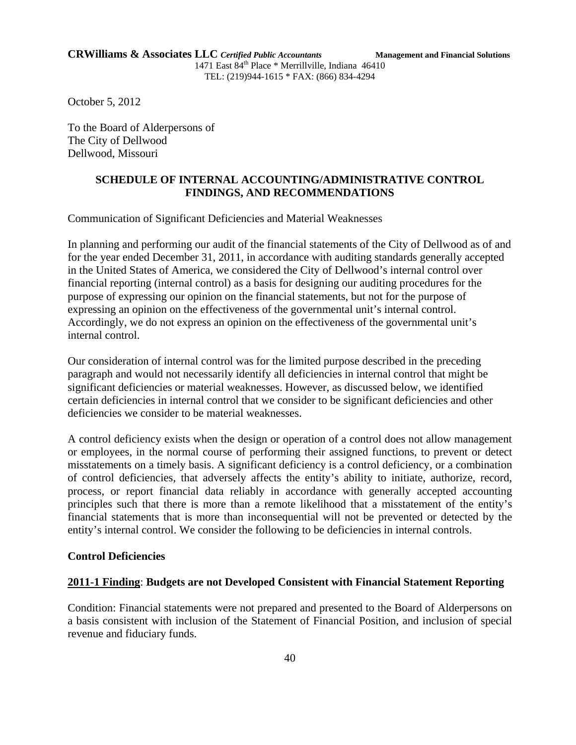October 5, 2012

To the Board of Alderpersons of The City of Dellwood Dellwood, Missouri

# **SCHEDULE OF INTERNAL ACCOUNTING/ADMINISTRATIVE CONTROL FINDINGS, AND RECOMMENDATIONS**

Communication of Significant Deficiencies and Material Weaknesses

In planning and performing our audit of the financial statements of the City of Dellwood as of and for the year ended December 31, 2011, in accordance with auditing standards generally accepted in the United States of America, we considered the City of Dellwood's internal control over financial reporting (internal control) as a basis for designing our auditing procedures for the purpose of expressing our opinion on the financial statements, but not for the purpose of expressing an opinion on the effectiveness of the governmental unit's internal control. Accordingly, we do not express an opinion on the effectiveness of the governmental unit's internal control.

Our consideration of internal control was for the limited purpose described in the preceding paragraph and would not necessarily identify all deficiencies in internal control that might be significant deficiencies or material weaknesses. However, as discussed below, we identified certain deficiencies in internal control that we consider to be significant deficiencies and other deficiencies we consider to be material weaknesses.

A control deficiency exists when the design or operation of a control does not allow management or employees, in the normal course of performing their assigned functions, to prevent or detect misstatements on a timely basis. A significant deficiency is a control deficiency, or a combination of control deficiencies, that adversely affects the entity's ability to initiate, authorize, record, process, or report financial data reliably in accordance with generally accepted accounting principles such that there is more than a remote likelihood that a misstatement of the entity's financial statements that is more than inconsequential will not be prevented or detected by the entity's internal control. We consider the following to be deficiencies in internal controls.

## **Control Deficiencies**

## **2011-1 Finding**: **Budgets are not Developed Consistent with Financial Statement Reporting**

Condition: Financial statements were not prepared and presented to the Board of Alderpersons on a basis consistent with inclusion of the Statement of Financial Position, and inclusion of special revenue and fiduciary funds.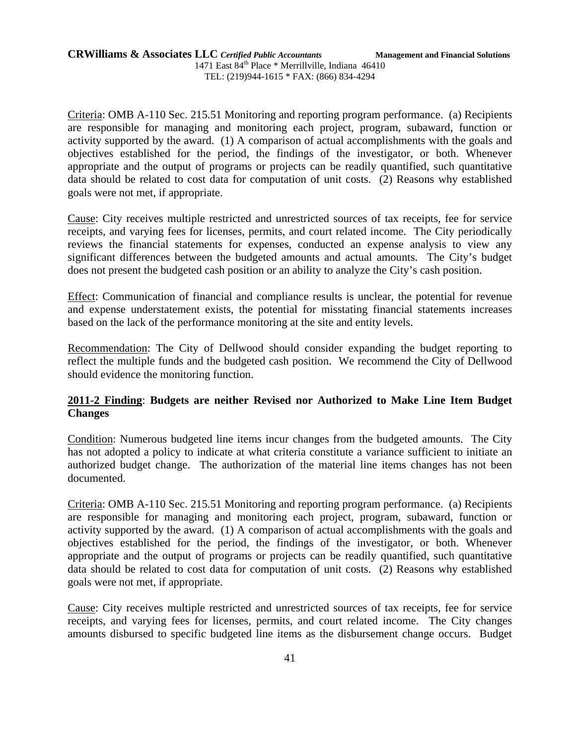Criteria: OMB A-110 Sec. 215.51 Monitoring and reporting program performance. (a) Recipients are responsible for managing and monitoring each project, program, subaward, function or activity supported by the award. (1) A comparison of actual accomplishments with the goals and objectives established for the period, the findings of the investigator, or both. Whenever appropriate and the output of programs or projects can be readily quantified, such quantitative data should be related to cost data for computation of unit costs. (2) Reasons why established goals were not met, if appropriate.

Cause: City receives multiple restricted and unrestricted sources of tax receipts, fee for service receipts, and varying fees for licenses, permits, and court related income. The City periodically reviews the financial statements for expenses, conducted an expense analysis to view any significant differences between the budgeted amounts and actual amounts. The City's budget does not present the budgeted cash position or an ability to analyze the City's cash position.

Effect: Communication of financial and compliance results is unclear, the potential for revenue and expense understatement exists, the potential for misstating financial statements increases based on the lack of the performance monitoring at the site and entity levels.

Recommendation: The City of Dellwood should consider expanding the budget reporting to reflect the multiple funds and the budgeted cash position. We recommend the City of Dellwood should evidence the monitoring function.

# **2011-2 Finding**: **Budgets are neither Revised nor Authorized to Make Line Item Budget Changes**

Condition: Numerous budgeted line items incur changes from the budgeted amounts. The City has not adopted a policy to indicate at what criteria constitute a variance sufficient to initiate an authorized budget change. The authorization of the material line items changes has not been documented.

Criteria: OMB A-110 Sec. 215.51 Monitoring and reporting program performance. (a) Recipients are responsible for managing and monitoring each project, program, subaward, function or activity supported by the award. (1) A comparison of actual accomplishments with the goals and objectives established for the period, the findings of the investigator, or both. Whenever appropriate and the output of programs or projects can be readily quantified, such quantitative data should be related to cost data for computation of unit costs. (2) Reasons why established goals were not met, if appropriate.

Cause: City receives multiple restricted and unrestricted sources of tax receipts, fee for service receipts, and varying fees for licenses, permits, and court related income. The City changes amounts disbursed to specific budgeted line items as the disbursement change occurs. Budget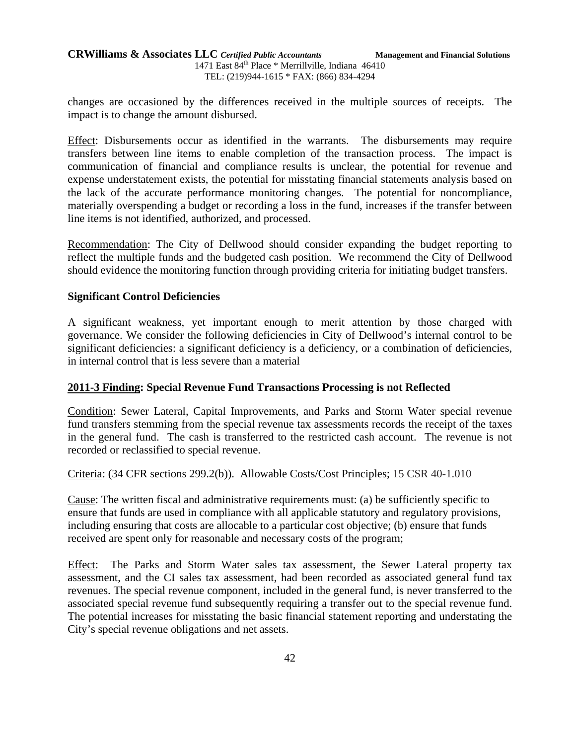## **CRWilliams & Associates LLC** *Certified Public Accountants* **Management and Financial Solutions** 1471 East 84<sup>th</sup> Place \* Merrillville, Indiana 46410 TEL: (219)944-1615 \* FAX: (866) 834-4294

changes are occasioned by the differences received in the multiple sources of receipts. The impact is to change the amount disbursed.

Effect: Disbursements occur as identified in the warrants. The disbursements may require transfers between line items to enable completion of the transaction process. The impact is communication of financial and compliance results is unclear, the potential for revenue and expense understatement exists, the potential for misstating financial statements analysis based on the lack of the accurate performance monitoring changes. The potential for noncompliance, materially overspending a budget or recording a loss in the fund, increases if the transfer between line items is not identified, authorized, and processed.

Recommendation: The City of Dellwood should consider expanding the budget reporting to reflect the multiple funds and the budgeted cash position. We recommend the City of Dellwood should evidence the monitoring function through providing criteria for initiating budget transfers.

# **Significant Control Deficiencies**

A significant weakness, yet important enough to merit attention by those charged with governance. We consider the following deficiencies in City of Dellwood's internal control to be significant deficiencies: a significant deficiency is a deficiency, or a combination of deficiencies, in internal control that is less severe than a material

## **2011-3 Finding: Special Revenue Fund Transactions Processing is not Reflected**

Condition: Sewer Lateral, Capital Improvements, and Parks and Storm Water special revenue fund transfers stemming from the special revenue tax assessments records the receipt of the taxes in the general fund. The cash is transferred to the restricted cash account. The revenue is not recorded or reclassified to special revenue.

Criteria: (34 CFR sections 299.2(b)). Allowable Costs/Cost Principles; 15 CSR 40-1.010

Cause: The written fiscal and administrative requirements must: (a) be sufficiently specific to ensure that funds are used in compliance with all applicable statutory and regulatory provisions, including ensuring that costs are allocable to a particular cost objective; (b) ensure that funds received are spent only for reasonable and necessary costs of the program;

Effect: The Parks and Storm Water sales tax assessment, the Sewer Lateral property tax assessment, and the CI sales tax assessment, had been recorded as associated general fund tax revenues. The special revenue component, included in the general fund, is never transferred to the associated special revenue fund subsequently requiring a transfer out to the special revenue fund. The potential increases for misstating the basic financial statement reporting and understating the City's special revenue obligations and net assets.